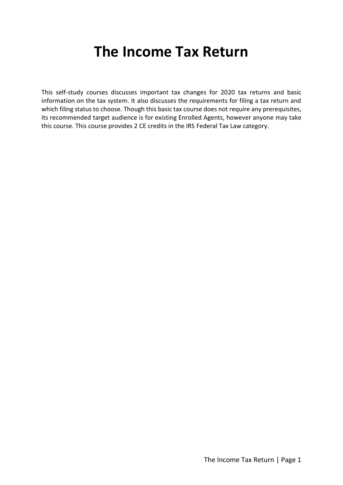# **The Income Tax Return**

This self-study courses discusses important tax changes for 2020 tax returns and basic information on the tax system. It also discusses the requirements for filing a tax return and which filing status to choose. Though this basic tax course does not require any prerequisites, its recommended target audience is for existing Enrolled Agents, however anyone may take this course. This course provides 2 CE credits in the IRS Federal Tax Law category.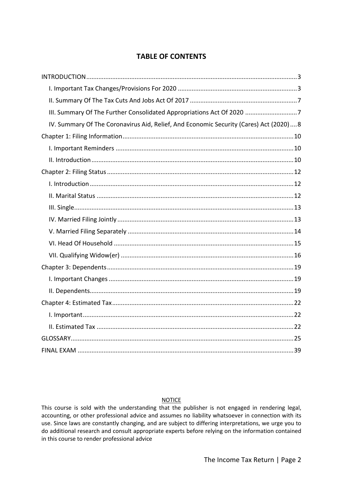# **TABLE OF CONTENTS**

| III. Summary Of The Further Consolidated Appropriations Act Of 2020 7                 |
|---------------------------------------------------------------------------------------|
| IV. Summary Of The Coronavirus Aid, Relief, And Economic Security (Cares) Act (2020)8 |
|                                                                                       |
|                                                                                       |
|                                                                                       |
|                                                                                       |
|                                                                                       |
|                                                                                       |
|                                                                                       |
|                                                                                       |
|                                                                                       |
|                                                                                       |
|                                                                                       |
|                                                                                       |
|                                                                                       |
|                                                                                       |
|                                                                                       |
|                                                                                       |
|                                                                                       |
|                                                                                       |
|                                                                                       |

#### **NOTICE**

This course is sold with the understanding that the publisher is not engaged in rendering legal, accounting, or other professional advice and assumes no liability whatsoever in connection with its use. Since laws are constantly changing, and are subject to differing interpretations, we urge you to do additional research and consult appropriate experts before relying on the information contained in this course to render professional advice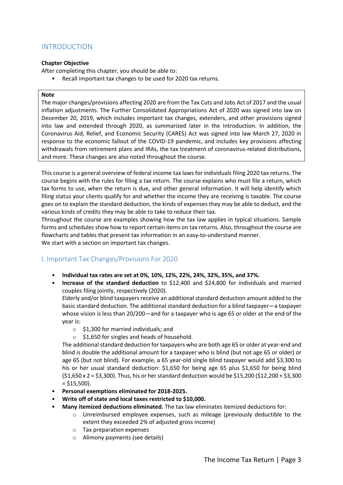# <span id="page-2-0"></span>INTRODUCTION

#### **Chapter Objective**

After completing this chapter, you should be able to:

• Recall important tax changes to be used for 2020 tax returns.

#### **Note**

The major changes/provisions affecting 2020 are from the Tax Cuts and Jobs Act of 2017 and the usual inflation adjustments. The Further Consolidated Appropriations Act of 2020 was signed into law on December 20, 2019, which includes important tax changes, extenders, and other provisions signed into law and extended through 2020, as summarized later in the Introduction. In addition, the Coronavirus Aid, Relief, and Economic Security (CARES) Act was signed into law March 27, 2020 in response to the economic fallout of the COVID-19 pandemic, and includes key provisions affecting withdrawals from retirement plans and IRAs, the tax treatment of coronavirus-related distributions, and more. These changes are also noted throughout the course.

This course is a general overview of federal income tax laws for individuals filing 2020 tax returns. The course begins with the rules for filing a tax return. The course explains who must file a return, which tax forms to use, when the return is due, and other general information. It will help identify which filing status your clients qualify for and whether the income they are receiving is taxable. The course goes on to explain the standard deduction, the kinds of expenses they may be able to deduct, and the various kinds of credits they may be able to take to reduce their tax.

Throughout the course are examples showing how the tax law applies in typical situations. Sample forms and schedules show how to report certain items on tax returns. Also, throughout the course are flowcharts and tables that present tax information in an easy-to-understand manner. We start with a section on important tax changes.

# <span id="page-2-1"></span>I. Important Tax Changes/Provisions For 2020

- **Individual tax rates are set at 0%, 10%, 12%, 22%, 24%, 32%, 35%, and 37%.**
- **Increase of the standard deduction** to \$12,400 and \$24,800 for individuals and married couples filing jointly, respectively (2020).

Elderly and/or blind taxpayers receive an additional standard deduction amount added to the basic standard deduction. The additional standard deduction for a blind taxpayer—a taxpayer whose vision is less than 20/200—and for a taxpayer who is age 65 or older at the end of the year is:

- o \$1,300 for married individuals; and
- o \$1,650 for singles and heads of household.

The additional standard deduction for taxpayers who are both age 65 or older at year-end and blind is double the additional amount for a taxpayer who is blind (but not age 65 or older) or age 65 (but not blind). For example, a 65 year-old single blind taxpayer would add \$3,300 to his or her usual standard deduction: \$1,650 for being age 65 plus \$1,650 for being blind  $(51,650 \times 2 = 53,300)$ . Thus, his or her standard deduction would be  $$15,200 ($12,200 + 53,300$  $=$  \$15,500).

- **Personal exemptions eliminated for 2018-2025.**
- **Write off of state and local taxes restricted to \$10,000.**
- **Many itemized deductions eliminated.** The tax law eliminates itemized deductions for:
	- o Unreimbursed employee expenses, such as mileage (previously deductible to the extent they exceeded 2% of adjusted gross income)
	- o Tax preparation expenses
	- o Alimony payments (see details)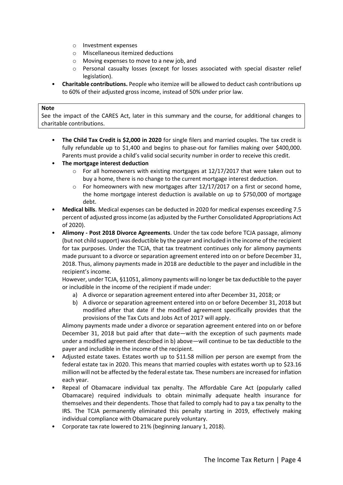- o Investment expenses
- o Miscellaneous itemized deductions
- o Moving expenses to move to a new job, and
- o Personal casualty losses (except for losses associated with special disaster relief legislation).
- **Charitable contributions.** People who itemize will be allowed to deduct cash contributions up to 60% of their adjusted gross income, instead of 50% under prior law.

#### **Note**

See the impact of the CARES Act, later in this summary and the course, for additional changes to charitable contributions.

- **The Child Tax Credit is \$2,000 in 2020** for single filers and married couples. The tax credit is fully refundable up to \$1,400 and begins to phase-out for families making over \$400,000. Parents must provide a child's valid social security number in order to receive this credit.
- **The mortgage interest deduction**
	- $\circ$  For all homeowners with existing mortgages at 12/17/2017 that were taken out to buy a home, there is no change to the current mortgage interest deduction.
	- $\circ$  For homeowners with new mortgages after 12/17/2017 on a first or second home, the home mortgage interest deduction is available on up to \$750,000 of mortgage debt.
- **Medical bills**. Medical expenses can be deducted in 2020 for medical expenses exceeding 7.5 percent of adjusted gross income (as adjusted by the Further Consolidated Appropriations Act of 2020).
- **Alimony - Post 2018 Divorce Agreements**. Under the tax code before TCJA passage, alimony (but not child support) was deductible by the payer and included in the income of the recipient for tax purposes. Under the TCJA, that tax treatment continues only for alimony payments made pursuant to a divorce or separation agreement entered into on or before December 31, 2018. Thus, alimony payments made in 2018 are deductible to the payer and includible in the recipient's income.

However, under TCJA, §11051, alimony payments will no longer be tax deductible to the payer or includible in the income of the recipient if made under:

- a) A divorce or separation agreement entered into after December 31, 2018; or
- b) A divorce or separation agreement entered into on or before December 31, 2018 but modified after that date if the modified agreement specifically provides that the provisions of the Tax Cuts and Jobs Act of 2017 will apply.

Alimony payments made under a divorce or separation agreement entered into on or before December 31, 2018 but paid after that date—with the exception of such payments made under a modified agreement described in b) above—will continue to be tax deductible to the payer and includible in the income of the recipient.

- Adjusted estate taxes. Estates worth up to \$11.58 million per person are exempt from the federal estate tax in 2020. This means that married couples with estates worth up to \$23.16 million will not be affected by the federal estate tax. These numbers are increased for inflation each year.
- Repeal of Obamacare individual tax penalty. The Affordable Care Act (popularly called Obamacare) required individuals to obtain minimally adequate health insurance for themselves and their dependents. Those that failed to comply had to pay a tax penalty to the IRS. The TCJA permanently eliminated this penalty starting in 2019, effectively making individual compliance with Obamacare purely voluntary.
- Corporate tax rate lowered to 21% (beginning January 1, 2018).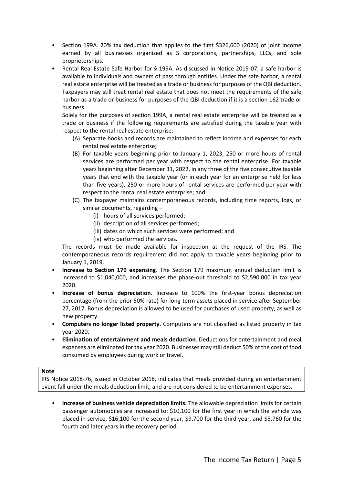- Section 199A. 20% tax deduction that applies to the first \$326,600 (2020) of joint income earned by all businesses organized as S corporations, partnerships, LLCs, and sole proprietorships.
- Rental Real Estate Safe Harbor for § 199A. As discussed in Notice 2019-07, a safe harbor is available to individuals and owners of pass through entities. Under the safe harbor, a rental real estate enterprise will be treated as a trade or business for purposes of the QBI deduction. Taxpayers may still treat rental real estate that does not meet the requirements of the safe harbor as a trade or business for purposes of the QBI deduction if it is a section 162 trade or business.

Solely for the purposes of section 199A, a rental real estate enterprise will be treated as a trade or business if the following requirements are satisfied during the taxable year with respect to the rental real estate enterprise:

- (A) Separate books and records are maintained to reflect income and expenses for each rental real estate enterprise;
- (B) For taxable years beginning prior to January 1, 2023, 250 or more hours of rental services are performed per year with respect to the rental enterprise. For taxable years beginning after December 31, 2022, in any three of the five consecutive taxable years that end with the taxable year (or in each year for an enterprise held for less than five years), 250 or more hours of rental services are performed per year with respect to the rental real estate enterprise; and
- (C) The taxpayer maintains contemporaneous records, including time reports, logs, or similar documents, regarding –
	- (i) hours of all services performed;
	- (ii) description of all services performed;
	- (iii) dates on which such services were performed; and
	- (iv) who performed the services.

The records must be made available for inspection at the request of the IRS. The contemporaneous records requirement did not apply to taxable years beginning prior to January 1, 2019.

- **Increase to Section 179 expensing**. The Section 179 maximum annual deduction limit is increased to \$1,040,000, and increases the phase-out threshold to \$2,590,000 in tax year 2020.
- **Increase of bonus depreciation**. Increase to 100% the first-year bonus depreciation percentage (from the prior 50% rate) for long-term assets placed in service after September 27, 2017. Bonus depreciation is allowed to be used for purchases of used property, as well as new property.
- **Computers no longer listed property**. Computers are not classified as listed property in tax year 2020.
- **Elimination of entertainment and meals deduction**. Deductions for entertainment and meal expenses are eliminated for tax year 2020. Businesses may still deduct 50% of the cost of food consumed by employees during work or travel.

#### **Note**

IRS Notice 2018-76, issued in October 2018, indicates that meals provided during an entertainment event fall under the meals deduction limit, and are not considered to be entertainment expenses.

• **Increase of business vehicle depreciation limits.** The allowable depreciation limits for certain passenger automobiles are increased to: \$10,100 for the first year in which the vehicle was placed in service, \$16,100 for the second year, \$9,700 for the third year, and \$5,760 for the fourth and later years in the recovery period.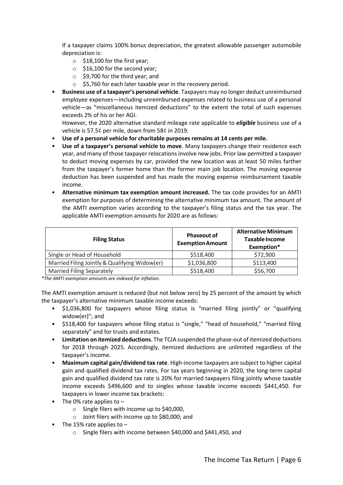If a taxpayer claims 100% bonus depreciation, the greatest allowable passenger automobile depreciation is:

- o \$18,100 for the first year;
- o \$16,100 for the second year;
- o \$9,700 for the third year; and
- o \$5,760 for each later taxable year in the recovery period.
- **Business use of a taxpayer's personal vehicle**. Taxpayers may no longer deduct unreimbursed employee expenses—including unreimbursed expenses related to business use of a personal vehicle—as "miscellaneous itemized deductions" to the extent the total of such expenses exceeds 2% of his or her AGI.

However, the 2020 alternative standard mileage rate applicable to *eligible* business use of a vehicle is 57.5¢ per mile, down from 58¢ in 2019.

- **Use of a personal vehicle for charitable purposes remains at 14 cents per mile.**
- **Use of a taxpayer's personal vehicle to move**. Many taxpayers change their residence each year, and many of those taxpayer relocations involve new jobs. Prior law permitted a taxpayer to deduct moving expenses by car, provided the new location was at least 50 miles farther from the taxpayer's former home than the former main job location. The moving expense deduction has been suspended and has made the moving expense reimbursement taxable income.
- **Alternative minimum tax exemption amount increased.** The tax code provides for an AMTI exemption for purposes of determining the alternative minimum tax amount. The amount of the AMTI exemption varies according to the taxpayer's filing status and the tax year. The applicable AMTI exemption amounts for 2020 are as follows:

| <b>Filing Status</b>                          | <b>Phaseout of</b><br><b>Exemption Amount</b> | <b>Alternative Minimum</b><br>Taxable Income<br>Exemption* |
|-----------------------------------------------|-----------------------------------------------|------------------------------------------------------------|
| Single or Head of Household                   | \$518,400                                     | \$72,900                                                   |
| Married Filing Jointly & Qualifying Widow(er) | \$1,036,800                                   | \$113,400                                                  |
| <b>Married Filing Separately</b>              | \$518,400                                     | \$56,700                                                   |

*\*The AMTI exemption amounts are indexed for inflation.*

The AMTI exemption amount is reduced (but not below zero) by 25 percent of the amount by which the taxpayer's alternative minimum taxable income exceeds:

- \$1,036,800 for taxpayers whose filing status is "married filing jointly" or "qualifying widow(er)"; and
- \$518,400 for taxpayers whose filing status is "single," "head of household," "married filing separately" and for trusts and estates.
- **Limitation on itemized deductions**. The TCJA suspended the phase-out of itemized deductions for 2018 through 2025. Accordingly, itemized deductions are unlimited regardless of the taxpayer's income.
- **Maximum capital gain/dividend tax rate**. High-income taxpayers are subject to higher capital gain and qualified dividend tax rates. For tax years beginning in 2020, the long-term capital gain and qualified dividend tax rate is 20% for married taxpayers filing jointly whose taxable income exceeds \$496,600 and to singles whose taxable income exceeds \$441,450. For taxpayers in lower income tax brackets:
- The 0% rate applies to  $$ 
	- o Single filers with income up to \$40,000,
	- o Joint filers with income up to \$80,000; and
- The 15% rate applies to
	- o Single filers with income between \$40,000 and \$441,450, and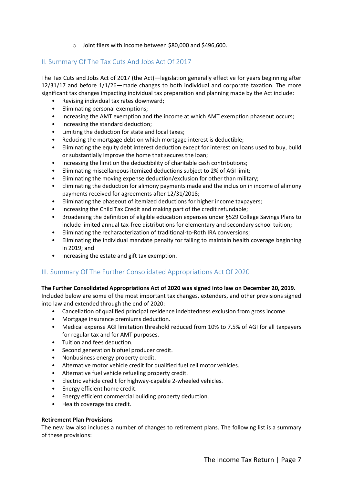o Joint filers with income between \$80,000 and \$496,600.

# <span id="page-6-0"></span>II. Summary Of The Tax Cuts And Jobs Act Of 2017

The Tax Cuts and Jobs Act of 2017 (the Act)—legislation generally effective for years beginning after 12/31/17 and before 1/1/26—made changes to both individual and corporate taxation. The more significant tax changes impacting individual tax preparation and planning made by the Act include:

- Revising individual tax rates downward;
- Eliminating personal exemptions;
- Increasing the AMT exemption and the income at which AMT exemption phaseout occurs;
- Increasing the standard deduction;
- Limiting the deduction for state and local taxes;
- Reducing the mortgage debt on which mortgage interest is deductible;
- Eliminating the equity debt interest deduction except for interest on loans used to buy, build or substantially improve the home that secures the loan;
- Increasing the limit on the deductibility of charitable cash contributions;
- Eliminating miscellaneous itemized deductions subject to 2% of AGI limit;
- Eliminating the moving expense deduction/exclusion for other than military;
- Eliminating the deduction for alimony payments made and the inclusion in income of alimony payments received for agreements after 12/31/2018;
- Eliminating the phaseout of itemized deductions for higher income taxpayers;
- Increasing the Child Tax Credit and making part of the credit refundable;
- Broadening the definition of eligible education expenses under §529 College Savings Plans to include limited annual tax-free distributions for elementary and secondary school tuition;
- Eliminating the recharacterization of traditional-to-Roth IRA conversions;
- Eliminating the individual mandate penalty for failing to maintain health coverage beginning in 2019; and
- Increasing the estate and gift tax exemption.

# <span id="page-6-1"></span>III. Summary Of The Further Consolidated Appropriations Act Of 2020

#### **The Further Consolidated Appropriations Act of 2020 was signed into law on December 20, 2019.**

Included below are some of the most important tax changes, extenders, and other provisions signed into law and extended through the end of 2020:

- Cancellation of qualified principal residence indebtedness exclusion from gross income.
- Mortgage insurance premiums deduction.
- Medical expense AGI limitation threshold reduced from 10% to 7.5% of AGI for all taxpayers for regular tax and for AMT purposes.
- Tuition and fees deduction.
- Second generation biofuel producer credit.
- Nonbusiness energy property credit.
- Alternative motor vehicle credit for qualified fuel cell motor vehicles.
- Alternative fuel vehicle refueling property credit.
- Electric vehicle credit for highway-capable 2-wheeled vehicles.
- Energy efficient home credit.
- Energy efficient commercial building property deduction.
- Health coverage tax credit.

#### **Retirement Plan Provisions**

The new law also includes a number of changes to retirement plans. The following list is a summary of these provisions: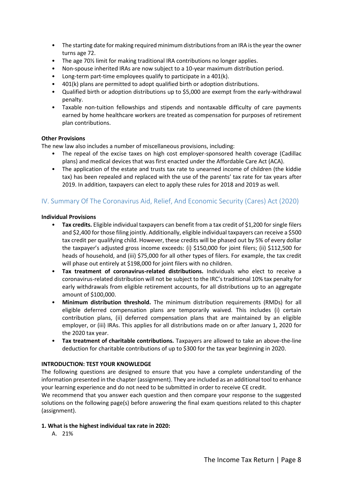- The starting date for making required minimum distributions from an IRA is the year the owner turns age 72.
- The age 70½ limit for making traditional IRA contributions no longer applies.
- Non-spouse inherited IRAs are now subject to a 10-year maximum distribution period.
- Long-term part-time employees qualify to participate in a 401(k).
- 401(k) plans are permitted to adopt qualified birth or adoption distributions.
- Qualified birth or adoption distributions up to \$5,000 are exempt from the early-withdrawal penalty.
- Taxable non-tuition fellowships and stipends and nontaxable difficulty of care payments earned by home healthcare workers are treated as compensation for purposes of retirement plan contributions.

#### **Other Provisions**

The new law also includes a number of miscellaneous provisions, including:

- The repeal of the excise taxes on high cost employer-sponsored health coverage (Cadillac plans) and medical devices that was first enacted under the Affordable Care Act (ACA).
- The application of the estate and trusts tax rate to unearned income of children (the kiddie tax) has been repealed and replaced with the use of the parents' tax rate for tax years after 2019. In addition, taxpayers can elect to apply these rules for 2018 and 2019 as well.

# <span id="page-7-0"></span>IV. Summary Of The Coronavirus Aid, Relief, And Economic Security (Cares) Act (2020)

#### **Individual Provisions**

- **Tax credits.** Eligible individual taxpayers can benefit from a tax credit of \$1,200 for single filers and \$2,400 for those filing jointly. Additionally, eligible individual taxpayers can receive a \$500 tax credit per qualifying child. However, these credits will be phased out by 5% of every dollar the taxpayer's adjusted gross income exceeds: (i) \$150,000 for joint filers; (ii) \$112,500 for heads of household, and (iii) \$75,000 for all other types of filers. For example, the tax credit will phase out entirely at \$198,000 for joint filers with no children.
- **Tax treatment of coronavirus-related distributions.** Individuals who elect to receive a coronavirus-related distribution will not be subject to the IRC's traditional 10% tax penalty for early withdrawals from eligible retirement accounts, for all distributions up to an aggregate amount of \$100,000.
- **Minimum distribution threshold.** The minimum distribution requirements (RMDs) for all eligible deferred compensation plans are temporarily waived. This includes (i) certain contribution plans, (ii) deferred compensation plans that are maintained by an eligible employer, or (iii) IRAs. This applies for all distributions made on or after January 1, 2020 for the 2020 tax year.
- **Tax treatment of charitable contributions.** Taxpayers are allowed to take an above-the-line deduction for charitable contributions of up to \$300 for the tax year beginning in 2020.

#### **INTRODUCTION: TEST YOUR KNOWLEDGE**

The following questions are designed to ensure that you have a complete understanding of the information presented in the chapter (assignment). They are included as an additional tool to enhance your learning experience and do not need to be submitted in order to receive CE credit.

We recommend that you answer each question and then compare your response to the suggested solutions on the following page(s) before answering the final exam questions related to this chapter (assignment).

#### **1. What is the highest individual tax rate in 2020:**

A. 21%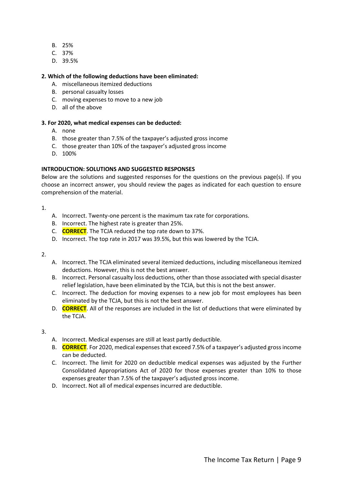- B. 25%
- C. 37%
- D. 39.5%

#### **2. Which of the following deductions have been eliminated:**

- A. miscellaneous itemized deductions
- B. personal casualty losses
- C. moving expenses to move to a new job
- D. all of the above

#### **3. For 2020, what medical expenses can be deducted:**

- A. none
- B. those greater than 7.5% of the taxpayer's adjusted gross income
- C. those greater than 10% of the taxpayer's adjusted gross income
- D. 100%

## **INTRODUCTION: SOLUTIONS AND SUGGESTED RESPONSES**

Below are the solutions and suggested responses for the questions on the previous page(s). If you choose an incorrect answer, you should review the pages as indicated for each question to ensure comprehension of the material.

1.

- A. Incorrect. Twenty-one percent is the maximum tax rate for corporations.
- B. Incorrect. The highest rate is greater than 25%.
- C. **CORRECT**. The TCJA reduced the top rate down to 37%.
- D. Incorrect. The top rate in 2017 was 39.5%, but this was lowered by the TCJA.

2.

- A. Incorrect. The TCJA eliminated several itemized deductions, including miscellaneous itemized deductions. However, this is not the best answer.
- B. Incorrect. Personal casualty loss deductions, other than those associated with special disaster relief legislation, have been eliminated by the TCJA, but this is not the best answer.
- C. Incorrect. The deduction for moving expenses to a new job for most employees has been eliminated by the TCJA, but this is not the best answer.
- D. **CORRECT**. All of the responses are included in the list of deductions that were eliminated by the TCJA.

3.

- A. Incorrect. Medical expenses are still at least partly deductible.
- B. **CORRECT**. For 2020, medical expenses that exceed 7.5% of a taxpayer's adjusted gross income can be deducted.
- C. Incorrect. The limit for 2020 on deductible medical expenses was adjusted by the Further Consolidated Appropriations Act of 2020 for those expenses greater than 10% to those expenses greater than 7.5% of the taxpayer's adjusted gross income.
- D. Incorrect. Not all of medical expenses incurred are deductible.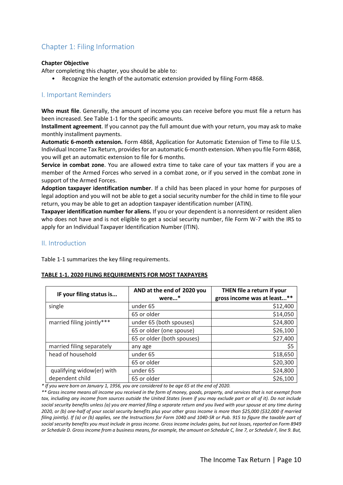# <span id="page-9-0"></span>Chapter 1: Filing Information

#### **Chapter Objective**

After completing this chapter, you should be able to:

• Recognize the length of the automatic extension provided by filing Form 4868.

# <span id="page-9-1"></span>I. Important Reminders

**Who must file**. Generally, the amount of income you can receive before you must file a return has been increased. See Table 1-1 for the specific amounts.

**Installment agreement**. If you cannot pay the full amount due with your return, you may ask to make monthly installment payments.

**Automatic 6-month extension.** Form 4868, Application for Automatic Extension of Time to File U.S. Individual Income Tax Return, provides for an automatic 6-month extension. When you file Form 4868, you will get an automatic extension to file for 6 months.

**Service in combat zone**. You are allowed extra time to take care of your tax matters if you are a member of the Armed Forces who served in a combat zone, or if you served in the combat zone in support of the Armed Forces.

**Adoption taxpayer identification number**. If a child has been placed in your home for purposes of legal adoption and you will not be able to get a social security number for the child in time to file your return, you may be able to get an adoption taxpayer identification number (ATIN).

**Taxpayer identification number for aliens.** If you or your dependent is a nonresident or resident alien who does not have and is not eligible to get a social security number, file Form W-7 with the IRS to apply for an Individual Taxpayer Identification Number (ITIN).

#### <span id="page-9-2"></span>II. Introduction

Table 1-1 summarizes the key filing requirements.

#### **TABLE 1-1. 2020 FILING REQUIREMENTS FOR MOST TAXPAYERS**

| IF your filing status is  | AND at the end of 2020 you<br>were* | THEN file a return if your  |
|---------------------------|-------------------------------------|-----------------------------|
|                           |                                     | gross income was at least** |
| single                    | under 65                            | \$12,400                    |
|                           | 65 or older                         | \$14,050                    |
| married filing jointly*** | under 65 (both spouses)             | \$24,800                    |
|                           | 65 or older (one spouse)            | \$26,100                    |
|                           | 65 or older (both spouses)          | \$27,400                    |
| married filing separately | any age                             | \$5                         |
| head of household         | under 65                            | \$18,650                    |
|                           | 65 or older                         | \$20,300                    |
| qualifying widow(er) with | under 65                            | \$24,800                    |
| dependent child           | 65 or older                         | \$26,100                    |

*\* If you were born on January 1, 1956, you are considered to be age 65 at the end of 2020.*

*\*\* Gross income means all income you received in the form of money, goods, property, and services that is not exempt from tax, including any income from sources outside the United States (even if you may exclude part or all of it). Do not include social security benefits unless (a) you are married filing a separate return and you lived with your spouse at any time during 2020, or (b) one-half of your social security benefits plus your other gross income is more than \$25,000 (\$32,000 if married filing jointly). If (a) or (b) applies, see the Instructions for Form 1040 and 1040-SR or Pub. 915 to figure the taxable part of social security benefits you must include in gross income. Gross income includes gains, but not losses, reported on Form 8949 or Schedule D. Gross income from a business means, for example, the amount on Schedule C, line 7, or Schedule F, line 9. But,*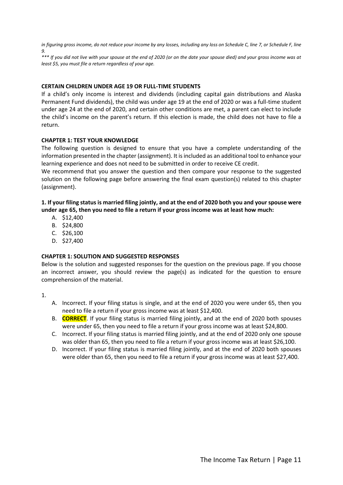*in figuring gross income, do not reduce your income by any losses, including any loss on Schedule C, line 7, or Schedule F, line 9.*

*\*\*\* If you did not live with your spouse at the end of 2020 (or on the date your spouse died) and your gross income was at least \$5, you must file a return regardless of your age.*

#### **CERTAIN CHILDREN UNDER AGE 19 OR FULL-TIME STUDENTS**

If a child's only income is interest and dividends (including capital gain distributions and Alaska Permanent Fund dividends), the child was under age 19 at the end of 2020 or was a full-time student under age 24 at the end of 2020, and certain other conditions are met, a parent can elect to include the child's income on the parent's return. If this election is made, the child does not have to file a return.

#### **CHAPTER 1: TEST YOUR KNOWLEDGE**

The following question is designed to ensure that you have a complete understanding of the information presented in the chapter (assignment). It is included as an additional tool to enhance your learning experience and does not need to be submitted in order to receive CE credit.

We recommend that you answer the question and then compare your response to the suggested solution on the following page before answering the final exam question(s) related to this chapter (assignment).

#### **1. If your filing status is married filing jointly, and at the end of 2020 both you and your spouse were under age 65, then you need to file a return if your gross income was at least how much:**

- A. \$12,400
- B. \$24,800
- C. \$26,100
- D. \$27,400

#### **CHAPTER 1: SOLUTION AND SUGGESTED RESPONSES**

Below is the solution and suggested responses for the question on the previous page. If you choose an incorrect answer, you should review the page(s) as indicated for the question to ensure comprehension of the material.

1.

- A. Incorrect. If your filing status is single, and at the end of 2020 you were under 65, then you need to file a return if your gross income was at least \$12,400.
- B. **CORRECT**. If your filing status is married filing jointly, and at the end of 2020 both spouses were under 65, then you need to file a return if your gross income was at least \$24,800.
- C. Incorrect. If your filing status is married filing jointly, and at the end of 2020 only one spouse was older than 65, then you need to file a return if your gross income was at least \$26,100.
- D. Incorrect. If your filing status is married filing jointly, and at the end of 2020 both spouses were older than 65, then you need to file a return if your gross income was at least \$27,400.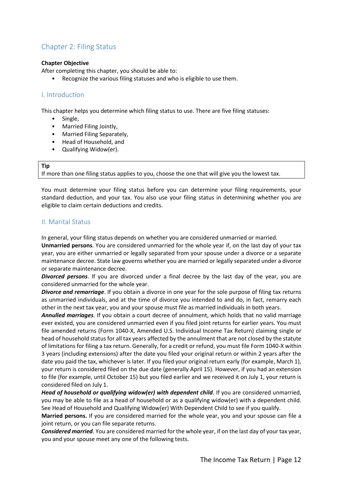# <span id="page-11-0"></span>Chapter 2: Filing Status

#### **Chapter Objective**

After completing this chapter, you should be able to:

• Recognize the various filing statuses and who is eligible to use them.

## <span id="page-11-1"></span>I. Introduction

This chapter helps you determine which filing status to use. There are five filing statuses:

- Single,
- Married Filing Jointly,
- Married Filing Separately,
- Head of Household, and
- Qualifying Widow(er).

#### **Tip**

If more than one filing status applies to you, choose the one that will give you the lowest tax.

You must determine your filing status before you can determine your filing requirements, your standard deduction, and your tax. You also use your filing status in determining whether you are eligible to claim certain deductions and credits.

## <span id="page-11-2"></span>II. Marital Status

In general, your filing status depends on whether you are considered unmarried or married.

**Unmarried persons**. You are considered unmarried for the whole year if, on the last day of your tax year, you are either unmarried or legally separated from your spouse under a divorce or a separate maintenance decree. State law governs whether you are married or legally separated under a divorce or separate maintenance decree.

*Divorced persons*. If you are divorced under a final decree by the last day of the year, you are considered unmarried for the whole year.

*Divorce and remarriage*. If you obtain a divorce in one year for the sole purpose of filing tax returns as unmarried individuals, and at the time of divorce you intended to and do, in fact, remarry each other in the next tax year, you and your spouse must file as married individuals in both years.

*Annulled marriages*. If you obtain a court decree of annulment, which holds that no valid marriage ever existed, you are considered unmarried even if you filed joint returns for earlier years. You must file amended returns (Form 1040-X, Amended U.S. Individual Income Tax Return) claiming single or head of household status for all tax years affected by the annulment that are not closed by the statute of limitations for filing a tax return. Generally, for a credit or refund, you must file Form 1040-X within 3 years (including extensions) after the date you filed your original return or within 2 years after the date you paid the tax, whichever is later. If you filed your original return early (for example, March 1), your return is considered filed on the due date (generally April 15). However, if you had an extension to file (for example, until October 15) but you filed earlier and we received it on July 1, your return is considered filed on July 1.

*Head of household or qualifying widow(er) with dependent child*. If you are considered unmarried, you may be able to file as a head of household or as a qualifying widow(er) with a dependent child. See Head of Household and Qualifying Widow(er) With Dependent Child to see if you qualify.

**Married persons.** If you are considered married for the whole year, you and your spouse can file a joint return, or you can file separate returns.

*Considered married*. You are considered married for the whole year, if on the last day of your tax year, you and your spouse meet any one of the following tests.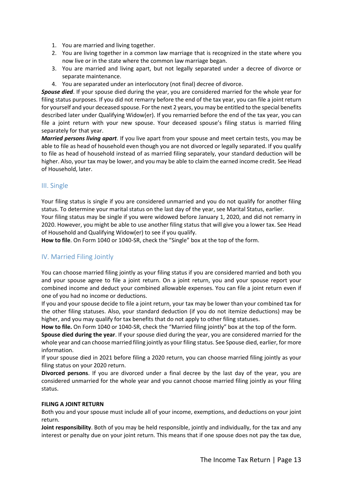- 1. You are married and living together.
- 2. You are living together in a common law marriage that is recognized in the state where you now live or in the state where the common law marriage began.
- 3. You are married and living apart, but not legally separated under a decree of divorce or separate maintenance.
- 4. You are separated under an interlocutory (not final) decree of divorce.

*Spouse died*. If your spouse died during the year, you are considered married for the whole year for filing status purposes. If you did not remarry before the end of the tax year, you can file a joint return for yourself and your deceased spouse. For the next 2 years, you may be entitled to the special benefits described later under Qualifying Widow(er). If you remarried before the end of the tax year, you can file a joint return with your new spouse. Your deceased spouse's filing status is married filing separately for that year.

*Married persons living apart*. If you live apart from your spouse and meet certain tests, you may be able to file as head of household even though you are not divorced or legally separated. If you qualify to file as head of household instead of as married filing separately, your standard deduction will be higher. Also, your tax may be lower, and you may be able to claim the earned income credit. See Head of Household, later.

# <span id="page-12-0"></span>III. Single

Your filing status is single if you are considered unmarried and you do not qualify for another filing status. To determine your marital status on the last day of the year, see Marital Status, earlier.

Your filing status may be single if you were widowed before January 1, 2020, and did not remarry in 2020. However, you might be able to use another filing status that will give you a lower tax. See Head of Household and Qualifying Widow(er) to see if you qualify.

**How to file**. On Form 1040 or 1040-SR, check the "Single" box at the top of the form.

# <span id="page-12-1"></span>IV. Married Filing Jointly

You can choose married filing jointly as your filing status if you are considered married and both you and your spouse agree to file a joint return. On a joint return, you and your spouse report your combined income and deduct your combined allowable expenses. You can file a joint return even if one of you had no income or deductions.

If you and your spouse decide to file a joint return, your tax may be lower than your combined tax for the other filing statuses. Also, your standard deduction (if you do not itemize deductions) may be higher, and you may qualify for tax benefits that do not apply to other filing statuses.

**How to file.** On Form 1040 or 1040-SR, check the "Married filing jointly" box at the top of the form.

**Spouse died during the year**. If your spouse died during the year, you are considered married for the whole year and can choose married filing jointly as your filing status. See Spouse died, earlier, for more information.

If your spouse died in 2021 before filing a 2020 return, you can choose married filing jointly as your filing status on your 2020 return.

**Divorced persons**. If you are divorced under a final decree by the last day of the year, you are considered unmarried for the whole year and you cannot choose married filing jointly as your filing status.

#### **FILING A JOINT RETURN**

Both you and your spouse must include all of your income, exemptions, and deductions on your joint return.

**Joint responsibility**. Both of you may be held responsible, jointly and individually, for the tax and any interest or penalty due on your joint return. This means that if one spouse does not pay the tax due,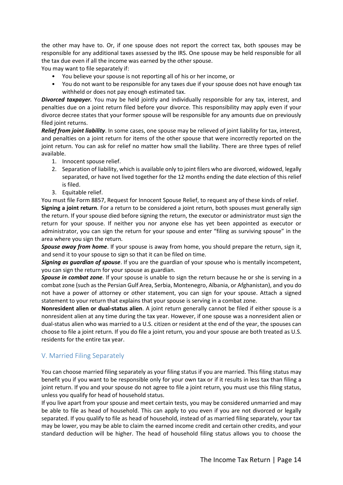the other may have to. Or, if one spouse does not report the correct tax, both spouses may be responsible for any additional taxes assessed by the IRS. One spouse may be held responsible for all the tax due even if all the income was earned by the other spouse.

You may want to file separately if:

- You believe your spouse is not reporting all of his or her income, or
- You do not want to be responsible for any taxes due if your spouse does not have enough tax withheld or does not pay enough estimated tax.

*Divorced taxpayer.* You may be held jointly and individually responsible for any tax, interest, and penalties due on a joint return filed before your divorce. This responsibility may apply even if your divorce decree states that your former spouse will be responsible for any amounts due on previously filed joint returns.

*Relief from joint liability*. In some cases, one spouse may be relieved of joint liability for tax, interest, and penalties on a joint return for items of the other spouse that were incorrectly reported on the joint return. You can ask for relief no matter how small the liability. There are three types of relief available.

- 1. Innocent spouse relief.
- 2. Separation of liability, which is available only to joint filers who are divorced, widowed, legally separated, or have not lived together for the 12 months ending the date election of this relief is filed.
- 3. Equitable relief.

You must file Form 8857, Request for Innocent Spouse Relief, to request any of these kinds of relief. **Signing a joint return**. For a return to be considered a joint return, both spouses must generally sign the return. If your spouse died before signing the return, the executor or administrator must sign the return for your spouse. If neither you nor anyone else has yet been appointed as executor or administrator, you can sign the return for your spouse and enter "filing as surviving spouse" in the area where you sign the return.

*Spouse away from home*. If your spouse is away from home, you should prepare the return, sign it, and send it to your spouse to sign so that it can be filed on time.

*Signing as guardian of spouse*. If you are the guardian of your spouse who is mentally incompetent, you can sign the return for your spouse as guardian.

*Spouse in combat zone*. If your spouse is unable to sign the return because he or she is serving in a combat zone (such as the Persian Gulf Area, Serbia, Montenegro, Albania, or Afghanistan), and you do not have a power of attorney or other statement, you can sign for your spouse. Attach a signed statement to your return that explains that your spouse is serving in a combat zone.

**Nonresident alien or dual-status alien**. A joint return generally cannot be filed if either spouse is a nonresident alien at any time during the tax year. However, if one spouse was a nonresident alien or dual-status alien who was married to a U.S. citizen or resident at the end of the year, the spouses can choose to file a joint return. If you do file a joint return, you and your spouse are both treated as U.S. residents for the entire tax year.

# <span id="page-13-0"></span>V. Married Filing Separately

You can choose married filing separately as your filing status if you are married. This filing status may benefit you if you want to be responsible only for your own tax or if it results in less tax than filing a joint return. If you and your spouse do not agree to file a joint return, you must use this filing status, unless you qualify for head of household status.

If you live apart from your spouse and meet certain tests, you may be considered unmarried and may be able to file as head of household. This can apply to you even if you are not divorced or legally separated. If you qualify to file as head of household, instead of as married filing separately, your tax may be lower, you may be able to claim the earned income credit and certain other credits, and your standard deduction will be higher. The head of household filing status allows you to choose the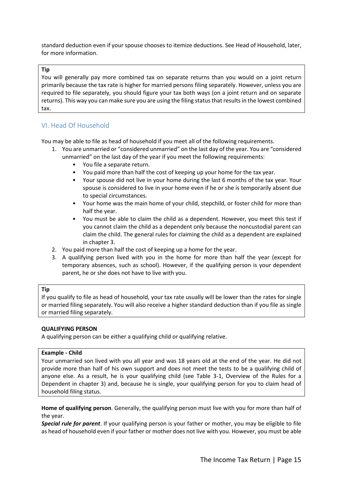standard deduction even if your spouse chooses to itemize deductions. See Head of Household, later, for more information.

#### **Tip**

You will generally pay more combined tax on separate returns than you would on a joint return primarily because the tax rate is higher for married persons filing separately. However, unless you are required to file separately, you should figure your tax both ways (on a joint return and on separate returns). This way you can make sure you are using the filing status that results in the lowest combined tax.

## <span id="page-14-0"></span>VI. Head Of Household

You may be able to file as head of household if you meet all of the following requirements.

- 1. You are unmarried or "considered unmarried" on the last day of the year. You are "considered unmarried" on the last day of the year if you meet the following requirements:
	- You file a separate return.
	- You paid more than half the cost of keeping up your home for the tax year.
	- Your spouse did not live in your home during the last 6 months of the tax year. Your spouse is considered to live in your home even if he or she is temporarily absent due to special circumstances.
	- Your home was the main home of your child, stepchild, or foster child for more than half the year.
	- You must be able to claim the child as a dependent. However, you meet this test if you cannot claim the child as a dependent only because the noncustodial parent can claim the child. The general rules for claiming the child as a dependent are explained in chapter 3.
- 2. You paid more than half the cost of keeping up a home for the year.
- 3. A qualifying person lived with you in the home for more than half the year (except for temporary absences, such as school). However, if the qualifying person is your dependent parent, he or she does not have to live with you.

#### **Tip**

If you qualify to file as head of household, your tax rate usually will be lower than the rates for single or married filing separately. You will also receive a higher standard deduction than if you file as single or married filing separately.

#### **QUALIFYING PERSON**

A qualifying person can be either a qualifying child or qualifying relative.

#### **Example - Child**

Your unmarried son lived with you all year and was 18 years old at the end of the year. He did not provide more than half of his own support and does not meet the tests to be a qualifying child of anyone else. As a result, he is your qualifying child (see Table 3-1, Overview of the Rules for a Dependent in chapter 3) and, because he is single, your qualifying person for you to claim head of household filing status.

**Home of qualifying person**. Generally, the qualifying person must live with you for more than half of the year.

*Special rule for parent*. If your qualifying person is your father or mother, you may be eligible to file as head of household even if your father or mother does not live with you. However, you must be able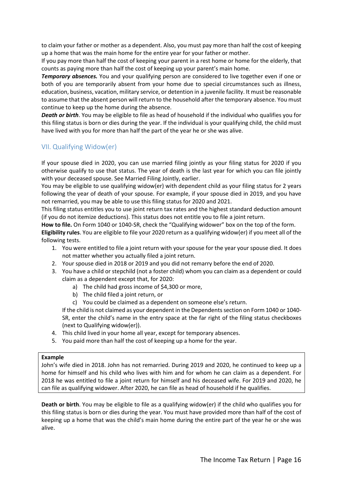to claim your father or mother as a dependent. Also, you must pay more than half the cost of keeping up a home that was the main home for the entire year for your father or mother.

If you pay more than half the cost of keeping your parent in a rest home or home for the elderly, that counts as paying more than half the cost of keeping up your parent's main home.

*Temporary absences.* You and your qualifying person are considered to live together even if one or both of you are temporarily absent from your home due to special circumstances such as illness, education, business, vacation, military service, or detention in a juvenile facility. It must be reasonable to assume that the absent person will return to the household after the temporary absence. You must continue to keep up the home during the absence.

*Death or birth*. You may be eligible to file as head of household if the individual who qualifies you for this filing status is born or dies during the year. If the individual is your qualifying child, the child must have lived with you for more than half the part of the year he or she was alive.

# <span id="page-15-0"></span>VII. Qualifying Widow(er)

If your spouse died in 2020, you can use married filing jointly as your filing status for 2020 if you otherwise qualify to use that status. The year of death is the last year for which you can file jointly with your deceased spouse. See Married Filing Jointly, earlier.

You may be eligible to use qualifying widow(er) with dependent child as your filing status for 2 years following the year of death of your spouse. For example, if your spouse died in 2019, and you have not remarried, you may be able to use this filing status for 2020 and 2021.

This filing status entitles you to use joint return tax rates and the highest standard deduction amount (if you do not itemize deductions). This status does not entitle you to file a joint return.

**How to file.** On Form 1040 or 1040-SR, check the "Qualifying widower" box on the top of the form.

**Eligibility rules**. You are eligible to file your 2020 return as a qualifying widow(er) if you meet all of the following tests.

- 1. You were entitled to file a joint return with your spouse for the year your spouse died. It does not matter whether you actually filed a joint return.
- 2. Your spouse died in 2018 or 2019 and you did not remarry before the end of 2020.
- 3. You have a child or stepchild (not a foster child) whom you can claim as a dependent or could claim as a dependent except that, for 2020:
	- a) The child had gross income of \$4,300 or more,
	- b) The child filed a joint return, or
	- c) You could be claimed as a dependent on someone else's return.

If the child is not claimed as your dependent in the Dependents section on Form 1040 or 1040- SR, enter the child's name in the entry space at the far right of the filing status checkboxes (next to Qualifying widow(er)).

- 4. This child lived in your home all year, except for temporary absences.
- 5. You paid more than half the cost of keeping up a home for the year.

#### **Example**

John's wife died in 2018. John has not remarried. During 2019 and 2020, he continued to keep up a home for himself and his child who lives with him and for whom he can claim as a dependent. For 2018 he was entitled to file a joint return for himself and his deceased wife. For 2019 and 2020, he can file as qualifying widower. After 2020, he can file as head of household if he qualifies.

**Death or birth**. You may be eligible to file as a qualifying widow(er) if the child who qualifies you for this filing status is born or dies during the year. You must have provided more than half of the cost of keeping up a home that was the child's main home during the entire part of the year he or she was alive.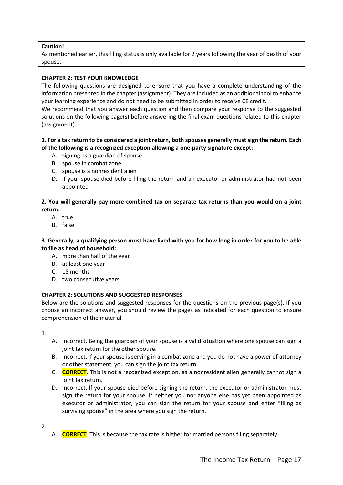#### **Caution!**

As mentioned earlier, this filing status is only available for 2 years following the year of death of your spouse.

#### **CHAPTER 2: TEST YOUR KNOWLEDGE**

The following questions are designed to ensure that you have a complete understanding of the information presented in the chapter (assignment). They are included as an additional tool to enhance your learning experience and do not need to be submitted in order to receive CE credit.

We recommend that you answer each question and then compare your response to the suggested solutions on the following page(s) before answering the final exam questions related to this chapter (assignment).

#### **1. For a tax return to be considered a joint return, both spouses generally must sign the return. Each of the following is a recognized exception allowing a one-party signature except:**

- A. signing as a guardian of spouse
- B. spouse in combat zone
- C. spouse is a nonresident alien
- D. if your spouse died before filing the return and an executor or administrator had not been appointed

#### **2. You will generally pay more combined tax on separate tax returns than you would on a joint return.**

- A. true
- B. false

#### **3. Generally, a qualifying person must have lived with you for how long in order for you to be able to file as head of household:**

- A. more than half of the year
- B. at least one year
- C. 18 months
- D. two consecutive years

#### **CHAPTER 2: SOLUTIONS AND SUGGESTED RESPONSES**

Below are the solutions and suggested responses for the questions on the previous page(s). If you choose an incorrect answer, you should review the pages as indicated for each question to ensure comprehension of the material.

1.

- A. Incorrect. Being the guardian of your spouse is a valid situation where one spouse can sign a joint tax return for the other spouse.
- B. Incorrect. If your spouse is serving in a combat zone and you do not have a power of attorney or other statement, you can sign the joint tax return.
- C. **CORRECT**. This is not a recognized exception, as a nonresident alien generally cannot sign a joint tax return.
- D. Incorrect. If your spouse died before signing the return, the executor or administrator must sign the return for your spouse. If neither you nor anyone else has yet been appointed as executor or administrator, you can sign the return for your spouse and enter "filing as surviving spouse" in the area where you sign the return.
- 2.
- A. **CORRECT**. This is because the tax rate is higher for married persons filing separately.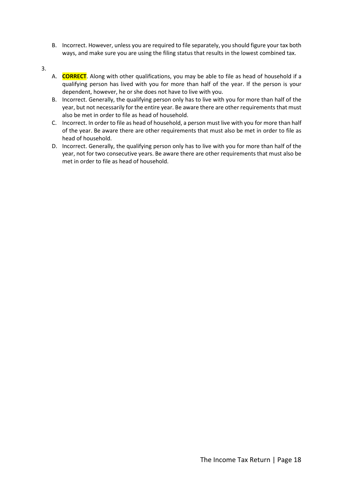- B. Incorrect. However, unless you are required to file separately, you should figure your tax both ways, and make sure you are using the filing status that results in the lowest combined tax.
- 3.
- A. **CORRECT**. Along with other qualifications, you may be able to file as head of household if a qualifying person has lived with you for more than half of the year. If the person is your dependent, however, he or she does not have to live with you.
- B. Incorrect. Generally, the qualifying person only has to live with you for more than half of the year, but not necessarily for the entire year. Be aware there are other requirements that must also be met in order to file as head of household.
- C. Incorrect. In order to file as head of household, a person must live with you for more than half of the year. Be aware there are other requirements that must also be met in order to file as head of household.
- D. Incorrect. Generally, the qualifying person only has to live with you for more than half of the year, not for two consecutive years. Be aware there are other requirements that must also be met in order to file as head of household.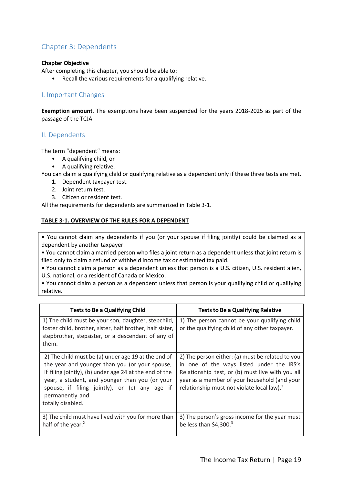# <span id="page-18-0"></span>Chapter 3: Dependents

#### **Chapter Objective**

After completing this chapter, you should be able to:

• Recall the various requirements for a qualifying relative.

# <span id="page-18-1"></span>I. Important Changes

**Exemption amount**. The exemptions have been suspended for the years 2018-2025 as part of the passage of the TCJA.

#### <span id="page-18-2"></span>II. Dependents

The term "dependent" means:

- A qualifying child, or
- A qualifying relative.

You can claim a qualifying child or qualifying relative as a dependent only if these three tests are met.

- 1. Dependent taxpayer test.
- 2. Joint return test.
- 3. Citizen or resident test.

All the requirements for dependents are summarized in Table 3-1.

#### **TABLE 3-1. OVERVIEW OF THE RULES FOR A DEPENDENT**

• You cannot claim any dependents if you (or your spouse if filing jointly) could be claimed as a dependent by another taxpayer.

• You cannot claim a married person who files a joint return as a dependent unless that joint return is filed only to claim a refund of withheld income tax or estimated tax paid.

• You cannot claim a person as a dependent unless that person is a U.S. citizen, U.S. resident alien, U.S. national, or a resident of Canada or Mexico. $1$ 

• You cannot claim a person as a dependent unless that person is your qualifying child or qualifying relative.

| <b>Tests to Be a Qualifying Child</b>                                                                                                                                                                                                                                                                      | <b>Tests to Be a Qualifying Relative</b>                                                                                                                                                                                                                    |
|------------------------------------------------------------------------------------------------------------------------------------------------------------------------------------------------------------------------------------------------------------------------------------------------------------|-------------------------------------------------------------------------------------------------------------------------------------------------------------------------------------------------------------------------------------------------------------|
| 1) The child must be your son, daughter, stepchild,<br>foster child, brother, sister, half brother, half sister,<br>stepbrother, stepsister, or a descendant of any of<br>them.                                                                                                                            | 1) The person cannot be your qualifying child<br>or the qualifying child of any other taxpayer.                                                                                                                                                             |
| 2) The child must be (a) under age 19 at the end of<br>the year and younger than you (or your spouse,<br>if filing jointly), (b) under age 24 at the end of the<br>year, a student, and younger than you (or your<br>spouse, if filing jointly), or (c) any age if<br>permanently and<br>totally disabled. | 2) The person either: (a) must be related to you<br>in one of the ways listed under the IRS's<br>Relationship test, or (b) must live with you all<br>year as a member of your household (and your<br>relationship must not violate local law). <sup>2</sup> |
| 3) The child must have lived with you for more than<br>half of the year. <sup>2</sup>                                                                                                                                                                                                                      | 3) The person's gross income for the year must<br>be less than $$4,300.3$                                                                                                                                                                                   |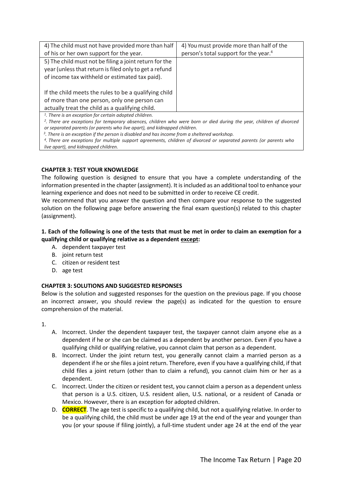| 4) The child must not have provided more than half                 | 4) You must provide more than half of the         |
|--------------------------------------------------------------------|---------------------------------------------------|
| of his or her own support for the year.                            | person's total support for the year. <sup>4</sup> |
| 5) The child must not be filing a joint return for the             |                                                   |
| year (unless that return is filed only to get a refund             |                                                   |
| of income tax withheld or estimated tax paid).                     |                                                   |
|                                                                    |                                                   |
| If the child meets the rules to be a qualifying child              |                                                   |
| of more than one person, only one person can                       |                                                   |
| actually treat the child as a qualifying child.                    |                                                   |
| <sup>1</sup> . There is an exception for certain adopted children. |                                                   |

<sup>2</sup>. There are exceptions for temporary absences, children who were born or died during the year, children of divorced *or separated parents (or parents who live apart), and kidnapped children.*

*3 . There is an exception if the person is disabled and has income from a sheltered workshop.*

4. There are exceptions for multiple support agreements, children of divorced or separated parents (or parents who *live apart), and kidnapped children.*

#### **CHAPTER 3: TEST YOUR KNOWLEDGE**

The following question is designed to ensure that you have a complete understanding of the information presented in the chapter (assignment). It is included as an additional tool to enhance your learning experience and does not need to be submitted in order to receive CE credit.

We recommend that you answer the question and then compare your response to the suggested solution on the following page before answering the final exam question(s) related to this chapter (assignment).

#### **1. Each of the following is one of the tests that must be met in order to claim an exemption for a qualifying child or qualifying relative as a dependent except:**

- A. dependent taxpayer test
- B. joint return test
- C. citizen or resident test
- D. age test

#### **CHAPTER 3: SOLUTIONS AND SUGGESTED RESPONSES**

Below is the solution and suggested responses for the question on the previous page. If you choose an incorrect answer, you should review the page(s) as indicated for the question to ensure comprehension of the material.

1.

- A. Incorrect. Under the dependent taxpayer test, the taxpayer cannot claim anyone else as a dependent if he or she can be claimed as a dependent by another person. Even if you have a qualifying child or qualifying relative, you cannot claim that person as a dependent.
- B. Incorrect. Under the joint return test, you generally cannot claim a married person as a dependent if he or she files a joint return. Therefore, even if you have a qualifying child, if that child files a joint return (other than to claim a refund), you cannot claim him or her as a dependent.
- C. Incorrect. Under the citizen or resident test, you cannot claim a person as a dependent unless that person is a U.S. citizen, U.S. resident alien, U.S. national, or a resident of Canada or Mexico. However, there is an exception for adopted children.
- D. **CORRECT**. The age test is specific to a qualifying child, but not a qualifying relative. In order to be a qualifying child, the child must be under age 19 at the end of the year and younger than you (or your spouse if filing jointly), a full-time student under age 24 at the end of the year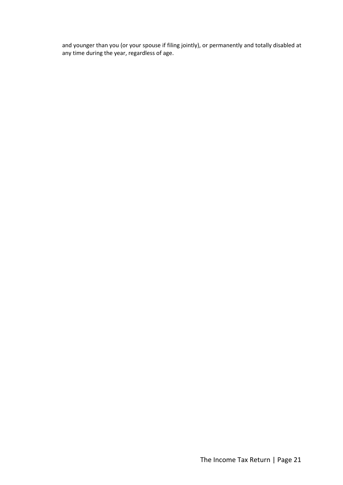and younger than you (or your spouse if filing jointly), or permanently and totally disabled at any time during the year, regardless of age.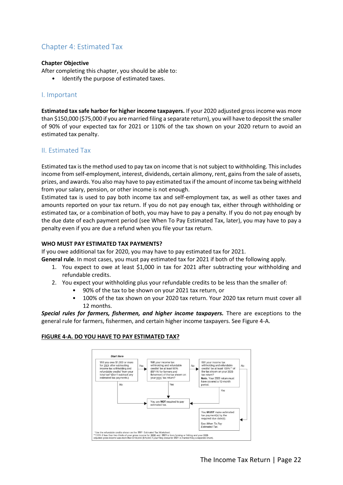# <span id="page-21-0"></span>Chapter 4: Estimated Tax

#### **Chapter Objective**

After completing this chapter, you should be able to:

• Identify the purpose of estimated taxes.

# <span id="page-21-1"></span>I. Important

**Estimated tax safe harbor for higher income taxpayers.** If your 2020 adjusted gross income was more than \$150,000 (\$75,000 if you are married filing a separate return), you will have to deposit the smaller of 90% of your expected tax for 2021 or 110% of the tax shown on your 2020 return to avoid an estimated tax penalty.

# <span id="page-21-2"></span>II. Estimated Tax

Estimated tax is the method used to pay tax on income that is not subject to withholding. This includes income from self-employment, interest, dividends, certain alimony, rent, gains from the sale of assets, prizes, and awards. You also may have to pay estimated tax if the amount of income tax being withheld from your salary, pension, or other income is not enough.

Estimated tax is used to pay both income tax and self-employment tax, as well as other taxes and amounts reported on your tax return. If you do not pay enough tax, either through withholding or estimated tax, or a combination of both, you may have to pay a penalty. If you do not pay enough by the due date of each payment period (see When To Pay Estimated Tax, later), you may have to pay a penalty even if you are due a refund when you file your tax return.

#### **WHO MUST PAY ESTIMATED TAX PAYMENTS?**

If you owe additional tax for 2020, you may have to pay estimated tax for 2021.

**General rule**. In most cases, you must pay estimated tax for 2021 if both of the following apply.

- 1. You expect to owe at least \$1,000 in tax for 2021 after subtracting your withholding and refundable credits.
- 2. You expect your withholding plus your refundable credits to be less than the smaller of:
	- 90% of the tax to be shown on your 2021 tax return, or
	- 100% of the tax shown on your 2020 tax return. Your 2020 tax return must cover all 12 months.

*Special rules for farmers, fishermen, and higher income taxpayers.* There are exceptions to the general rule for farmers, fishermen, and certain higher income taxpayers. See Figure 4-A.

#### **FIGURE 4-A. DO YOU HAVE TO PAY ESTIMATED TAX?**

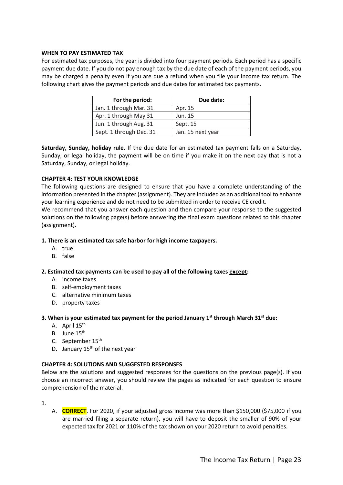#### **WHEN TO PAY ESTIMATED TAX**

For estimated tax purposes, the year is divided into four payment periods. Each period has a specific payment due date. If you do not pay enough tax by the due date of each of the payment periods, you may be charged a penalty even if you are due a refund when you file your income tax return. The following chart gives the payment periods and due dates for estimated tax payments.

| For the period:         | Due date:         |
|-------------------------|-------------------|
| Jan. 1 through Mar. 31  | Apr. 15           |
| Apr. 1 through May 31   | Jun. 15           |
| Jun. 1 through Aug. 31  | Sept. 15          |
| Sept. 1 through Dec. 31 | Jan. 15 next year |

**Saturday, Sunday, holiday rule**. If the due date for an estimated tax payment falls on a Saturday, Sunday, or legal holiday, the payment will be on time if you make it on the next day that is not a Saturday, Sunday, or legal holiday.

#### **CHAPTER 4: TEST YOUR KNOWLEDGE**

The following questions are designed to ensure that you have a complete understanding of the information presented in the chapter (assignment). They are included as an additional tool to enhance your learning experience and do not need to be submitted in order to receive CE credit.

We recommend that you answer each question and then compare your response to the suggested solutions on the following page(s) before answering the final exam questions related to this chapter (assignment).

#### **1. There is an estimated tax safe harbor for high income taxpayers.**

- A. true
- B. false

#### **2. Estimated tax payments can be used to pay all of the following taxes except:**

- A. income taxes
- B. self-employment taxes
- C. alternative minimum taxes
- D. property taxes

#### **3. When is your estimated tax payment for the period January 1st through March 31st due:**

- A. April 15<sup>th</sup>
- B. June 15<sup>th</sup>
- C. September 15<sup>th</sup>
- D. January  $15<sup>th</sup>$  of the next year

#### **CHAPTER 4: SOLUTIONS AND SUGGESTED RESPONSES**

Below are the solutions and suggested responses for the questions on the previous page(s). If you choose an incorrect answer, you should review the pages as indicated for each question to ensure comprehension of the material.

1.

A. **CORRECT**. For 2020, if your adjusted gross income was more than \$150,000 (\$75,000 if you are married filing a separate return), you will have to deposit the smaller of 90% of your expected tax for 2021 or 110% of the tax shown on your 2020 return to avoid penalties.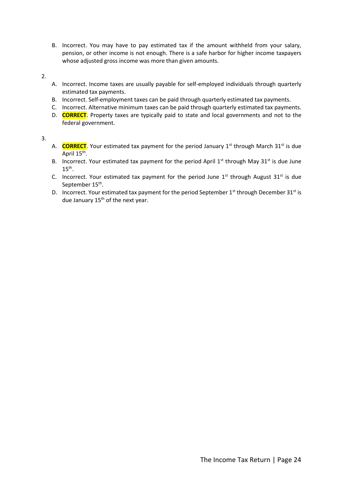- B. Incorrect. You may have to pay estimated tax if the amount withheld from your salary, pension, or other income is not enough. There is a safe harbor for higher income taxpayers whose adjusted gross income was more than given amounts.
- 2.
- A. Incorrect. Income taxes are usually payable for self-employed individuals through quarterly estimated tax payments.
- B. Incorrect. Self-employment taxes can be paid through quarterly estimated tax payments.
- C. Incorrect. Alternative minimum taxes can be paid through quarterly estimated tax payments.
- D. **CORRECT**. Property taxes are typically paid to state and local governments and not to the federal government.

#### 3.

- A. **CORRECT**. Your estimated tax payment for the period January 1<sup>st</sup> through March 31<sup>st</sup> is due April 15<sup>th</sup>.
- B. Incorrect. Your estimated tax payment for the period April  $1<sup>st</sup>$  through May 31 $<sup>st</sup>$  is due June</sup>  $15<sup>th</sup>$ .
- C. Incorrect. Your estimated tax payment for the period June  $1<sup>st</sup>$  through August  $31<sup>st</sup>$  is due September 15<sup>th</sup>.
- D. Incorrect. Your estimated tax payment for the period September  $1<sup>st</sup>$  through December 31<sup>st</sup> is due January 15<sup>th</sup> of the next year.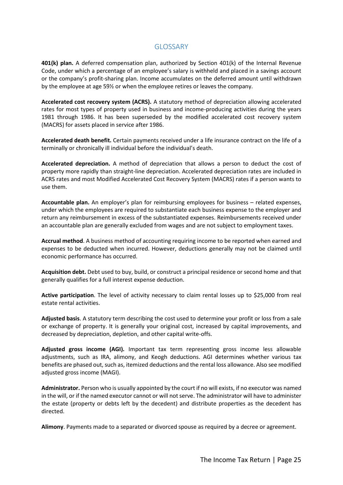# GLOSSARY

<span id="page-24-0"></span>**401(k) plan.** A deferred compensation plan, authorized by Section 401(k) of the Internal Revenue Code, under which a percentage of an employee's salary is withheld and placed in a savings account or the company's profit-sharing plan. Income accumulates on the deferred amount until withdrawn by the employee at age 59½ or when the employee retires or leaves the company.

**Accelerated cost recovery system (ACRS).** A statutory method of depreciation allowing accelerated rates for most types of property used in business and income-producing activities during the years 1981 through 1986. It has been superseded by the modified accelerated cost recovery system (MACRS) for assets placed in service after 1986.

**Accelerated death benefit.** Certain payments received under a life insurance contract on the life of a terminally or chronically ill individual before the individual's death.

**Accelerated depreciation.** A method of depreciation that allows a person to deduct the cost of property more rapidly than straight-line depreciation. Accelerated depreciation rates are included in ACRS rates and most Modified Accelerated Cost Recovery System (MACRS) rates if a person wants to use them.

**Accountable plan.** An employer's plan for reimbursing employees for business – related expenses, under which the employees are required to substantiate each business expense to the employer and return any reimbursement in excess of the substantiated expenses. Reimbursements received under an accountable plan are generally excluded from wages and are not subject to employment taxes.

**Accrual method**. A business method of accounting requiring income to be reported when earned and expenses to be deducted when incurred. However, deductions generally may not be claimed until economic performance has occurred.

**Acquisition debt.** Debt used to buy, build, or construct a principal residence or second home and that generally qualifies for a full interest expense deduction.

**Active participation**. The level of activity necessary to claim rental losses up to \$25,000 from real estate rental activities.

**Adjusted basis**. A statutory term describing the cost used to determine your profit or loss from a sale or exchange of property. It is generally your original cost, increased by capital improvements, and decreased by depreciation, depletion, and other capital write-offs.

**Adjusted gross income (AGI).** Important tax term representing gross income less allowable adjustments, such as IRA, alimony, and Keogh deductions. AGI determines whether various tax benefits are phased out, such as, itemized deductions and the rental loss allowance. Also see modified adjusted gross income (MAGI).

**Administrator.** Person who is usually appointed by the court if no will exists, if no executor was named in the will, or if the named executor cannot or will not serve. The administrator will have to administer the estate (property or debts left by the decedent) and distribute properties as the decedent has directed.

**Alimony**. Payments made to a separated or divorced spouse as required by a decree or agreement.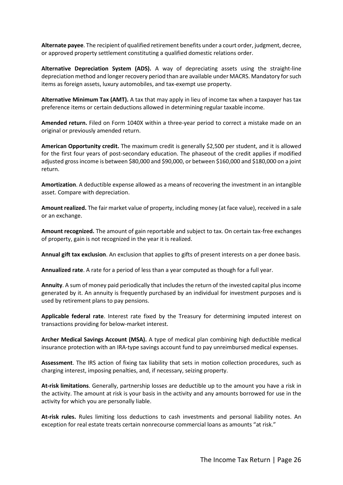**Alternate payee**. The recipient of qualified retirement benefits under a court order, judgment, decree, or approved property settlement constituting a qualified domestic relations order.

**Alternative Depreciation System (ADS).** A way of depreciating assets using the straight-line depreciation method and longer recovery period than are available under MACRS. Mandatory for such items as foreign assets, luxury automobiles, and tax-exempt use property.

**Alternative Minimum Tax (AMT).** A tax that may apply in lieu of income tax when a taxpayer has tax preference items or certain deductions allowed in determining regular taxable income.

**Amended return.** Filed on Form 1040X within a three-year period to correct a mistake made on an original or previously amended return.

**American Opportunity credit.** The maximum credit is generally \$2,500 per student, and it is allowed for the first four years of post-secondary education. The phaseout of the credit applies if modified adjusted gross income is between \$80,000 and \$90,000, or between \$160,000 and \$180,000 on a joint return.

**Amortization**. A deductible expense allowed as a means of recovering the investment in an intangible asset. Compare with depreciation.

**Amount realized.** The fair market value of property, including money (at face value), received in a sale or an exchange.

**Amount recognized.** The amount of gain reportable and subject to tax. On certain tax-free exchanges of property, gain is not recognized in the year it is realized.

**Annual gift tax exclusion**. An exclusion that applies to gifts of present interests on a per donee basis.

**Annualized rate**. A rate for a period of less than a year computed as though for a full year.

**Annuity**. A sum of money paid periodically that includes the return of the invested capital plus income generated by it. An annuity is frequently purchased by an individual for investment purposes and is used by retirement plans to pay pensions.

**Applicable federal rate**. Interest rate fixed by the Treasury for determining imputed interest on transactions providing for below-market interest.

**Archer Medical Savings Account (MSA).** A type of medical plan combining high deductible medical insurance protection with an IRA-type savings account fund to pay unreimbursed medical expenses.

**Assessment**. The IRS action of fixing tax liability that sets in motion collection procedures, such as charging interest, imposing penalties, and, if necessary, seizing property.

**At-risk limitations**. Generally, partnership losses are deductible up to the amount you have a risk in the activity. The amount at risk is your basis in the activity and any amounts borrowed for use in the activity for which you are personally liable.

**At-risk rules.** Rules limiting loss deductions to cash investments and personal liability notes. An exception for real estate treats certain nonrecourse commercial loans as amounts "at risk."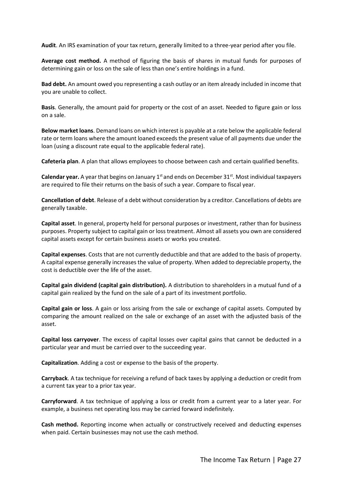**Audit**. An IRS examination of your tax return, generally limited to a three-year period after you file.

**Average cost method.** A method of figuring the basis of shares in mutual funds for purposes of determining gain or loss on the sale of less than one's entire holdings in a fund.

**Bad debt.** An amount owed you representing a cash outlay or an item already included in income that you are unable to collect.

**Basis**. Generally, the amount paid for property or the cost of an asset. Needed to figure gain or loss on a sale.

**Below market loans**. Demand loans on which interest is payable at a rate below the applicable federal rate or term loans where the amount loaned exceeds the present value of all payments due under the loan (using a discount rate equal to the applicable federal rate).

**Cafeteria plan**. A plan that allows employees to choose between cash and certain qualified benefits.

Calendar year. A year that begins on January 1<sup>st</sup> and ends on December 31<sup>st</sup>. Most individual taxpayers are required to file their returns on the basis of such a year. Compare to fiscal year.

**Cancellation of debt**. Release of a debt without consideration by a creditor. Cancellations of debts are generally taxable.

**Capital asset**. In general, property held for personal purposes or investment, rather than for business purposes. Property subject to capital gain or loss treatment. Almost all assets you own are considered capital assets except for certain business assets or works you created.

**Capital expenses**. Costs that are not currently deductible and that are added to the basis of property. A capital expense generally increases the value of property. When added to depreciable property, the cost is deductible over the life of the asset.

**Capital gain dividend (capital gain distribution).** A distribution to shareholders in a mutual fund of a capital gain realized by the fund on the sale of a part of its investment portfolio.

**Capital gain or loss**. A gain or loss arising from the sale or exchange of capital assets. Computed by comparing the amount realized on the sale or exchange of an asset with the adjusted basis of the asset.

**Capital loss carryover**. The excess of capital losses over capital gains that cannot be deducted in a particular year and must be carried over to the succeeding year.

**Capitalization**. Adding a cost or expense to the basis of the property.

**Carryback**. A tax technique for receiving a refund of back taxes by applying a deduction or credit from a current tax year to a prior tax year.

**Carryforward**. A tax technique of applying a loss or credit from a current year to a later year. For example, a business net operating loss may be carried forward indefinitely.

**Cash method.** Reporting income when actually or constructively received and deducting expenses when paid. Certain businesses may not use the cash method.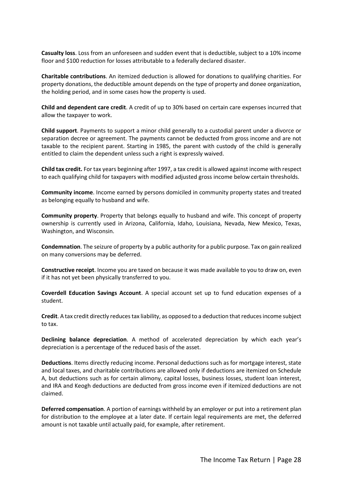**Casualty loss**. Loss from an unforeseen and sudden event that is deductible, subject to a 10% income floor and \$100 reduction for losses attributable to a federally declared disaster.

**Charitable contributions**. An itemized deduction is allowed for donations to qualifying charities. For property donations, the deductible amount depends on the type of property and donee organization, the holding period, and in some cases how the property is used.

**Child and dependent care credit**. A credit of up to 30% based on certain care expenses incurred that allow the taxpayer to work.

**Child support**. Payments to support a minor child generally to a custodial parent under a divorce or separation decree or agreement. The payments cannot be deducted from gross income and are not taxable to the recipient parent. Starting in 1985, the parent with custody of the child is generally entitled to claim the dependent unless such a right is expressly waived.

**Child tax credit.** For tax years beginning after 1997, a tax credit is allowed against income with respect to each qualifying child for taxpayers with modified adjusted gross income below certain thresholds.

**Community income**. Income earned by persons domiciled in community property states and treated as belonging equally to husband and wife.

**Community property**. Property that belongs equally to husband and wife. This concept of property ownership is currently used in Arizona, California, Idaho, Louisiana, Nevada, New Mexico, Texas, Washington, and Wisconsin.

**Condemnation**. The seizure of property by a public authority for a public purpose. Tax on gain realized on many conversions may be deferred.

**Constructive receipt**. Income you are taxed on because it was made available to you to draw on, even if it has not yet been physically transferred to you.

**Coverdell Education Savings Account**. A special account set up to fund education expenses of a student.

**Credit**. A tax credit directly reduces tax liability, as opposed to a deduction that reduces income subject to tax.

**Declining balance depreciation**. A method of accelerated depreciation by which each year's depreciation is a percentage of the reduced basis of the asset.

**Deductions**. Items directly reducing income. Personal deductions such as for mortgage interest, state and local taxes, and charitable contributions are allowed only if deductions are itemized on Schedule A, but deductions such as for certain alimony, capital losses, business losses, student loan interest, and IRA and Keogh deductions are deducted from gross income even if itemized deductions are not claimed.

**Deferred compensation**. A portion of earnings withheld by an employer or put into a retirement plan for distribution to the employee at a later date. If certain legal requirements are met, the deferred amount is not taxable until actually paid, for example, after retirement.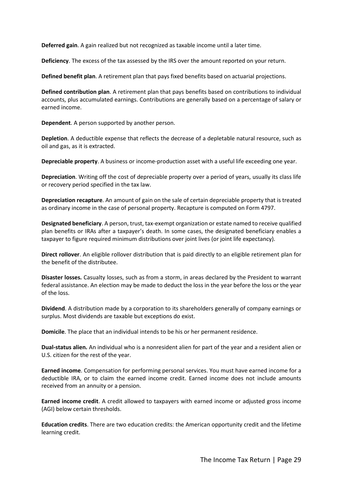**Deferred gain**. A gain realized but not recognized as taxable income until a later time.

**Deficiency**. The excess of the tax assessed by the IRS over the amount reported on your return.

**Defined benefit plan**. A retirement plan that pays fixed benefits based on actuarial projections.

**Defined contribution plan**. A retirement plan that pays benefits based on contributions to individual accounts, plus accumulated earnings. Contributions are generally based on a percentage of salary or earned income.

**Dependent**. A person supported by another person.

**Depletion**. A deductible expense that reflects the decrease of a depletable natural resource, such as oil and gas, as it is extracted.

**Depreciable property**. A business or income-production asset with a useful life exceeding one year.

**Depreciation**. Writing off the cost of depreciable property over a period of years, usually its class life or recovery period specified in the tax law.

**Depreciation recapture**. An amount of gain on the sale of certain depreciable property that is treated as ordinary income in the case of personal property. Recapture is computed on Form 4797.

**Designated beneficiary**. A person, trust, tax-exempt organization or estate named to receive qualified plan benefits or IRAs after a taxpayer's death. In some cases, the designated beneficiary enables a taxpayer to figure required minimum distributions over joint lives (or joint life expectancy).

**Direct rollover**. An eligible rollover distribution that is paid directly to an eligible retirement plan for the benefit of the distributee.

**Disaster losses.** Casualty losses, such as from a storm, in areas declared by the President to warrant federal assistance. An election may be made to deduct the loss in the year before the loss or the year of the loss.

**Dividend**. A distribution made by a corporation to its shareholders generally of company earnings or surplus. Most dividends are taxable but exceptions do exist.

**Domicile**. The place that an individual intends to be his or her permanent residence.

**Dual-status alien.** An individual who is a nonresident alien for part of the year and a resident alien or U.S. citizen for the rest of the year.

**Earned income**. Compensation for performing personal services. You must have earned income for a deductible IRA, or to claim the earned income credit. Earned income does not include amounts received from an annuity or a pension.

**Earned income credit**. A credit allowed to taxpayers with earned income or adjusted gross income (AGI) below certain thresholds.

**Education credits**. There are two education credits: the American opportunity credit and the lifetime learning credit.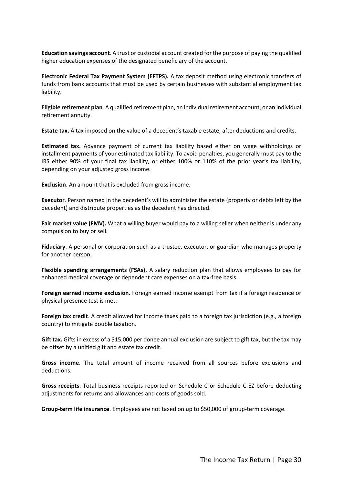**Education savings account**. A trust or custodial account created for the purpose of paying the qualified higher education expenses of the designated beneficiary of the account.

**Electronic Federal Tax Payment System (EFTPS).** A tax deposit method using electronic transfers of funds from bank accounts that must be used by certain businesses with substantial employment tax liability.

**Eligible retirement plan**. A qualified retirement plan, an individual retirement account, or an individual retirement annuity.

**Estate tax.** A tax imposed on the value of a decedent's taxable estate, after deductions and credits.

**Estimated tax.** Advance payment of current tax liability based either on wage withholdings or installment payments of your estimated tax liability. To avoid penalties, you generally must pay to the IRS either 90% of your final tax liability, or either 100% or 110% of the prior year's tax liability, depending on your adjusted gross income.

**Exclusion**. An amount that is excluded from gross income.

**Executor**. Person named in the decedent's will to administer the estate (property or debts left by the decedent) and distribute properties as the decedent has directed.

Fair market value (FMV). What a willing buyer would pay to a willing seller when neither is under any compulsion to buy or sell.

**Fiduciary**. A personal or corporation such as a trustee, executor, or guardian who manages property for another person.

**Flexible spending arrangements (FSAs).** A salary reduction plan that allows employees to pay for enhanced medical coverage or dependent care expenses on a tax-free basis.

**Foreign earned income exclusion**. Foreign earned income exempt from tax if a foreign residence or physical presence test is met.

**Foreign tax credit**. A credit allowed for income taxes paid to a foreign tax jurisdiction (e.g., a foreign country) to mitigate double taxation.

**Gift tax.** Gifts in excess of a \$15,000 per donee annual exclusion are subject to gift tax, but the tax may be offset by a unified gift and estate tax credit.

**Gross income**. The total amount of income received from all sources before exclusions and deductions.

**Gross receipts**. Total business receipts reported on Schedule C or Schedule C-EZ before deducting adjustments for returns and allowances and costs of goods sold.

**Group-term life insurance**. Employees are not taxed on up to \$50,000 of group-term coverage.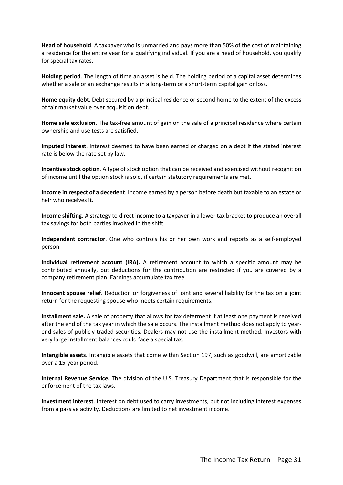**Head of household**. A taxpayer who is unmarried and pays more than 50% of the cost of maintaining a residence for the entire year for a qualifying individual. If you are a head of household, you qualify for special tax rates.

**Holding period**. The length of time an asset is held. The holding period of a capital asset determines whether a sale or an exchange results in a long-term or a short-term capital gain or loss.

**Home equity debt**. Debt secured by a principal residence or second home to the extent of the excess of fair market value over acquisition debt.

**Home sale exclusion**. The tax-free amount of gain on the sale of a principal residence where certain ownership and use tests are satisfied.

**Imputed interest**. Interest deemed to have been earned or charged on a debt if the stated interest rate is below the rate set by law.

**Incentive stock option**. A type of stock option that can be received and exercised without recognition of income until the option stock is sold, if certain statutory requirements are met.

**Income in respect of a decedent**. Income earned by a person before death but taxable to an estate or heir who receives it.

**Income shifting.** A strategy to direct income to a taxpayer in a lower tax bracket to produce an overall tax savings for both parties involved in the shift.

**Independent contractor**. One who controls his or her own work and reports as a self-employed person.

**Individual retirement account (IRA).** A retirement account to which a specific amount may be contributed annually, but deductions for the contribution are restricted if you are covered by a company retirement plan. Earnings accumulate tax free.

**Innocent spouse relief**. Reduction or forgiveness of joint and several liability for the tax on a joint return for the requesting spouse who meets certain requirements.

**Installment sale.** A sale of property that allows for tax deferment if at least one payment is received after the end of the tax year in which the sale occurs. The installment method does not apply to yearend sales of publicly traded securities. Dealers may not use the installment method. Investors with very large installment balances could face a special tax.

**Intangible assets**. Intangible assets that come within Section 197, such as goodwill, are amortizable over a 15-year period.

**Internal Revenue Service.** The division of the U.S. Treasury Department that is responsible for the enforcement of the tax laws.

**Investment interest**. Interest on debt used to carry investments, but not including interest expenses from a passive activity. Deductions are limited to net investment income.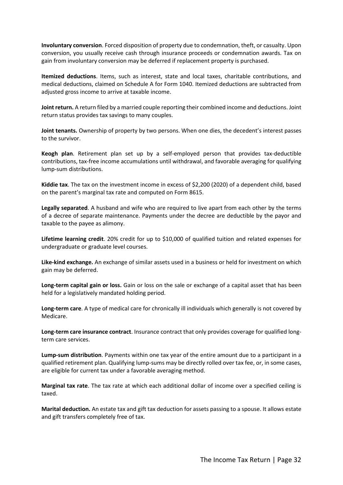**Involuntary conversion**. Forced disposition of property due to condemnation, theft, or casualty. Upon conversion, you usually receive cash through insurance proceeds or condemnation awards. Tax on gain from involuntary conversion may be deferred if replacement property is purchased.

**Itemized deductions**. Items, such as interest, state and local taxes, charitable contributions, and medical deductions, claimed on Schedule A for Form 1040. Itemized deductions are subtracted from adjusted gross income to arrive at taxable income.

**Joint return.** A return filed by a married couple reporting their combined income and deductions. Joint return status provides tax savings to many couples.

**Joint tenants.** Ownership of property by two persons. When one dies, the decedent's interest passes to the survivor.

**Keogh plan**. Retirement plan set up by a self-employed person that provides tax-deductible contributions, tax-free income accumulations until withdrawal, and favorable averaging for qualifying lump-sum distributions.

**Kiddie tax**. The tax on the investment income in excess of \$2,200 (2020) of a dependent child, based on the parent's marginal tax rate and computed on Form 8615.

**Legally separated**. A husband and wife who are required to live apart from each other by the terms of a decree of separate maintenance. Payments under the decree are deductible by the payor and taxable to the payee as alimony.

**Lifetime learning credit**. 20% credit for up to \$10,000 of qualified tuition and related expenses for undergraduate or graduate level courses.

**Like-kind exchange.** An exchange of similar assets used in a business or held for investment on which gain may be deferred.

**Long-term capital gain or loss.** Gain or loss on the sale or exchange of a capital asset that has been held for a legislatively mandated holding period.

**Long-term care**. A type of medical care for chronically ill individuals which generally is not covered by Medicare.

**Long-term care insurance contract**. Insurance contract that only provides coverage for qualified longterm care services.

**Lump-sum distribution**. Payments within one tax year of the entire amount due to a participant in a qualified retirement plan. Qualifying lump-sums may be directly rolled over tax fee, or, in some cases, are eligible for current tax under a favorable averaging method.

**Marginal tax rate**. The tax rate at which each additional dollar of income over a specified ceiling is taxed.

**Marital deduction.** An estate tax and gift tax deduction for assets passing to a spouse. It allows estate and gift transfers completely free of tax.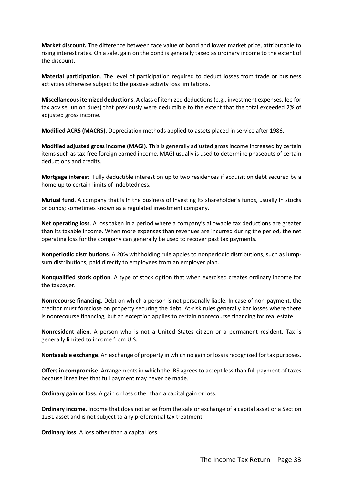**Market discount.** The difference between face value of bond and lower market price, attributable to rising interest rates. On a sale, gain on the bond is generally taxed as ordinary income to the extent of the discount.

**Material participation**. The level of participation required to deduct losses from trade or business activities otherwise subject to the passive activity loss limitations.

**Miscellaneous itemized deductions**. A class of itemized deductions (e.g., investment expenses, fee for tax advise, union dues) that previously were deductible to the extent that the total exceeded 2% of adjusted gross income.

**Modified ACRS (MACRS).** Depreciation methods applied to assets placed in service after 1986.

**Modified adjusted gross income (MAGI).** This is generally adjusted gross income increased by certain items such as tax-free foreign earned income. MAGI usually is used to determine phaseouts of certain deductions and credits.

**Mortgage interest**. Fully deductible interest on up to two residences if acquisition debt secured by a home up to certain limits of indebtedness.

**Mutual fund**. A company that is in the business of investing its shareholder's funds, usually in stocks or bonds; sometimes known as a regulated investment company.

**Net operating loss**. A loss taken in a period where a company's allowable tax deductions are greater than its taxable income. When more expenses than revenues are incurred during the period, the net operating loss for the company can generally be used to recover past tax payments.

**Nonperiodic distributions**. A 20% withholding rule apples to nonperiodic distributions, such as lumpsum distributions, paid directly to employees from an employer plan.

**Nonqualified stock option**. A type of stock option that when exercised creates ordinary income for the taxpayer.

**Nonrecourse financing**. Debt on which a person is not personally liable. In case of non-payment, the creditor must foreclose on property securing the debt. At-risk rules generally bar losses where there is nonrecourse financing, but an exception applies to certain nonrecourse financing for real estate.

**Nonresident alien**. A person who is not a United States citizen or a permanent resident. Tax is generally limited to income from U.S.

**Nontaxable exchange**. An exchange of property in which no gain or loss is recognized for tax purposes.

**Offers in compromise**. Arrangements in which the IRS agrees to accept less than full payment of taxes because it realizes that full payment may never be made.

**Ordinary gain or loss**. A gain or loss other than a capital gain or loss.

**Ordinary income**. Income that does not arise from the sale or exchange of a capital asset or a Section 1231 asset and is not subject to any preferential tax treatment.

**Ordinary loss**. A loss other than a capital loss.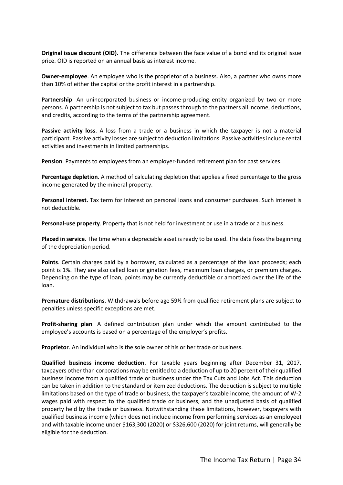**Original issue discount (OID).** The difference between the face value of a bond and its original issue price. OID is reported on an annual basis as interest income.

**Owner-employee**. An employee who is the proprietor of a business. Also, a partner who owns more than 10% of either the capital or the profit interest in a partnership.

**Partnership**. An unincorporated business or income-producing entity organized by two or more persons. A partnership is not subject to tax but passes through to the partners all income, deductions, and credits, according to the terms of the partnership agreement.

**Passive activity loss**. A loss from a trade or a business in which the taxpayer is not a material participant. Passive activity losses are subject to deduction limitations. Passive activities include rental activities and investments in limited partnerships.

**Pension**. Payments to employees from an employer-funded retirement plan for past services.

**Percentage depletion**. A method of calculating depletion that applies a fixed percentage to the gross income generated by the mineral property.

**Personal interest.** Tax term for interest on personal loans and consumer purchases. Such interest is not deductible.

**Personal-use property**. Property that is not held for investment or use in a trade or a business.

**Placed in service**. The time when a depreciable asset is ready to be used. The date fixes the beginning of the depreciation period.

**Points**. Certain charges paid by a borrower, calculated as a percentage of the loan proceeds; each point is 1%. They are also called loan origination fees, maximum loan charges, or premium charges. Depending on the type of loan, points may be currently deductible or amortized over the life of the loan.

**Premature distributions**. Withdrawals before age 59½ from qualified retirement plans are subject to penalties unless specific exceptions are met.

**Profit-sharing plan**. A defined contribution plan under which the amount contributed to the employee's accounts is based on a percentage of the employer's profits.

**Proprietor**. An individual who is the sole owner of his or her trade or business.

**Qualified business income deduction.** For taxable years beginning after December 31, 2017, taxpayers other than corporations may be entitled to a deduction of up to 20 percent of their qualified business income from a qualified trade or business under the Tax Cuts and Jobs Act. This deduction can be taken in addition to the standard or itemized deductions. The deduction is subject to multiple limitations based on the type of trade or business, the taxpayer's taxable income, the amount of W-2 wages paid with respect to the qualified trade or business, and the unadjusted basis of qualified property held by the trade or business. Notwithstanding these limitations, however, taxpayers with qualified business income (which does not include income from performing services as an employee) and with taxable income under \$163,300 (2020) or \$326,600 (2020) for joint returns, will generally be eligible for the deduction.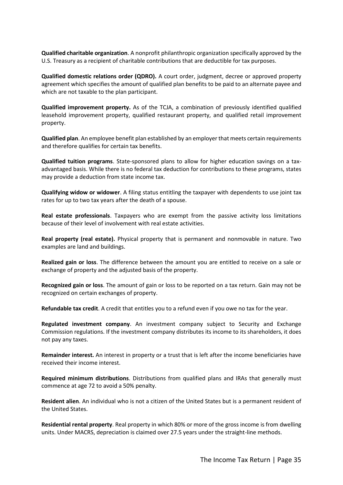**Qualified charitable organization**. A nonprofit philanthropic organization specifically approved by the U.S. Treasury as a recipient of charitable contributions that are deductible for tax purposes.

**Qualified domestic relations order (QDRO).** A court order, judgment, decree or approved property agreement which specifies the amount of qualified plan benefits to be paid to an alternate payee and which are not taxable to the plan participant.

**Qualified improvement property.** As of the TCJA, a combination of previously identified qualified leasehold improvement property, qualified restaurant property, and qualified retail improvement property.

**Qualified plan**. An employee benefit plan established by an employer that meets certain requirements and therefore qualifies for certain tax benefits.

**Qualified tuition programs**. State-sponsored plans to allow for higher education savings on a taxadvantaged basis. While there is no federal tax deduction for contributions to these programs, states may provide a deduction from state income tax.

**Qualifying widow or widower**. A filing status entitling the taxpayer with dependents to use joint tax rates for up to two tax years after the death of a spouse.

**Real estate professionals**. Taxpayers who are exempt from the passive activity loss limitations because of their level of involvement with real estate activities.

**Real property (real estate).** Physical property that is permanent and nonmovable in nature. Two examples are land and buildings.

**Realized gain or loss**. The difference between the amount you are entitled to receive on a sale or exchange of property and the adjusted basis of the property.

**Recognized gain or loss**. The amount of gain or loss to be reported on a tax return. Gain may not be recognized on certain exchanges of property.

**Refundable tax credit**. A credit that entitles you to a refund even if you owe no tax for the year.

**Regulated investment company**. An investment company subject to Security and Exchange Commission regulations. If the investment company distributes its income to its shareholders, it does not pay any taxes.

**Remainder interest.** An interest in property or a trust that is left after the income beneficiaries have received their income interest.

**Required minimum distributions**. Distributions from qualified plans and IRAs that generally must commence at age 72 to avoid a 50% penalty.

**Resident alien**. An individual who is not a citizen of the United States but is a permanent resident of the United States.

**Residential rental property**. Real property in which 80% or more of the gross income is from dwelling units. Under MACRS, depreciation is claimed over 27.5 years under the straight-line methods.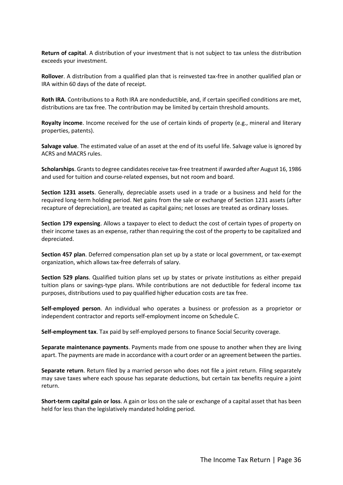**Return of capital**. A distribution of your investment that is not subject to tax unless the distribution exceeds your investment.

**Rollover**. A distribution from a qualified plan that is reinvested tax-free in another qualified plan or IRA within 60 days of the date of receipt.

**Roth IRA**. Contributions to a Roth IRA are nondeductible, and, if certain specified conditions are met, distributions are tax free. The contribution may be limited by certain threshold amounts.

**Royalty income**. Income received for the use of certain kinds of property (e.g., mineral and literary properties, patents).

**Salvage value**. The estimated value of an asset at the end of its useful life. Salvage value is ignored by ACRS and MACRS rules.

**Scholarships**. Grants to degree candidates receive tax-free treatment if awarded after August 16, 1986 and used for tuition and course-related expenses, but not room and board.

**Section 1231 assets**. Generally, depreciable assets used in a trade or a business and held for the required long-term holding period. Net gains from the sale or exchange of Section 1231 assets (after recapture of depreciation), are treated as capital gains; net losses are treated as ordinary losses.

**Section 179 expensing**. Allows a taxpayer to elect to deduct the cost of certain types of property on their income taxes as an expense, rather than requiring the cost of the property to be capitalized and depreciated.

**Section 457 plan**. Deferred compensation plan set up by a state or local government, or tax-exempt organization, which allows tax-free deferrals of salary.

**Section 529 plans**. Qualified tuition plans set up by states or private institutions as either prepaid tuition plans or savings-type plans. While contributions are not deductible for federal income tax purposes, distributions used to pay qualified higher education costs are tax free.

**Self-employed person**. An individual who operates a business or profession as a proprietor or independent contractor and reports self-employment income on Schedule C.

**Self-employment tax**. Tax paid by self-employed persons to finance Social Security coverage.

**Separate maintenance payments**. Payments made from one spouse to another when they are living apart. The payments are made in accordance with a court order or an agreement between the parties.

**Separate return**. Return filed by a married person who does not file a joint return. Filing separately may save taxes where each spouse has separate deductions, but certain tax benefits require a joint return.

**Short-term capital gain or loss**. A gain or loss on the sale or exchange of a capital asset that has been held for less than the legislatively mandated holding period.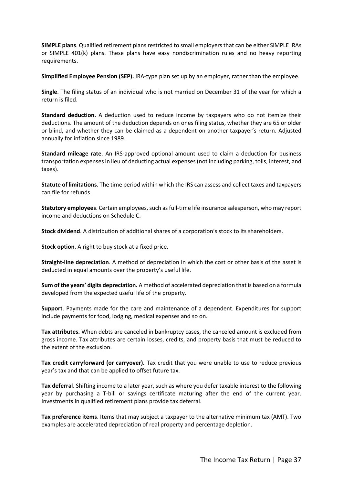**SIMPLE plans**. Qualified retirement plans restricted to small employers that can be either SIMPLE IRAs or SIMPLE 401(k) plans. These plans have easy nondiscrimination rules and no heavy reporting requirements.

**Simplified Employee Pension (SEP).** IRA-type plan set up by an employer, rather than the employee.

**Single**. The filing status of an individual who is not married on December 31 of the year for which a return is filed.

**Standard deduction.** A deduction used to reduce income by taxpayers who do not itemize their deductions. The amount of the deduction depends on ones filing status, whether they are 65 or older or blind, and whether they can be claimed as a dependent on another taxpayer's return. Adjusted annually for inflation since 1989.

**Standard mileage rate**. An IRS-approved optional amount used to claim a deduction for business transportation expenses in lieu of deducting actual expenses (not including parking, tolls, interest, and taxes).

**Statute of limitations**. The time period within which the IRS can assess and collect taxes and taxpayers can file for refunds.

**Statutory employees**. Certain employees, such as full-time life insurance salesperson, who may report income and deductions on Schedule C.

**Stock dividend**. A distribution of additional shares of a corporation's stock to its shareholders.

**Stock option**. A right to buy stock at a fixed price.

**Straight-line depreciation**. A method of depreciation in which the cost or other basis of the asset is deducted in equal amounts over the property's useful life.

**Sum of the years' digits depreciation.** A method of accelerated depreciation that is based on a formula developed from the expected useful life of the property.

**Support**. Payments made for the care and maintenance of a dependent. Expenditures for support include payments for food, lodging, medical expenses and so on.

**Tax attributes.** When debts are canceled in bankruptcy cases, the canceled amount is excluded from gross income. Tax attributes are certain losses, credits, and property basis that must be reduced to the extent of the exclusion.

**Tax credit carryforward (or carryover).** Tax credit that you were unable to use to reduce previous year's tax and that can be applied to offset future tax.

**Tax deferral**. Shifting income to a later year, such as where you defer taxable interest to the following year by purchasing a T-bill or savings certificate maturing after the end of the current year. Investments in qualified retirement plans provide tax deferral.

**Tax preference items**. Items that may subject a taxpayer to the alternative minimum tax (AMT). Two examples are accelerated depreciation of real property and percentage depletion.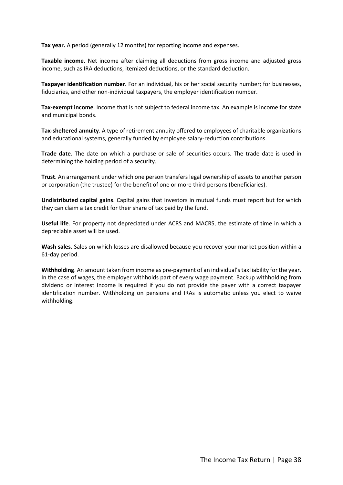**Tax year.** A period (generally 12 months) for reporting income and expenses.

**Taxable income.** Net income after claiming all deductions from gross income and adjusted gross income, such as IRA deductions, itemized deductions, or the standard deduction.

**Taxpayer identification number**. For an individual, his or her social security number; for businesses, fiduciaries, and other non-individual taxpayers, the employer identification number.

**Tax-exempt income**. Income that is not subject to federal income tax. An example is income for state and municipal bonds.

**Tax-sheltered annuity**. A type of retirement annuity offered to employees of charitable organizations and educational systems, generally funded by employee salary-reduction contributions.

**Trade date**. The date on which a purchase or sale of securities occurs. The trade date is used in determining the holding period of a security.

**Trust**. An arrangement under which one person transfers legal ownership of assets to another person or corporation (the trustee) for the benefit of one or more third persons (beneficiaries).

**Undistributed capital gains**. Capital gains that investors in mutual funds must report but for which they can claim a tax credit for their share of tax paid by the fund.

**Useful life**. For property not depreciated under ACRS and MACRS, the estimate of time in which a depreciable asset will be used.

**Wash sales**. Sales on which losses are disallowed because you recover your market position within a 61-day period.

**Withholding**. An amount taken from income as pre-payment of an individual's tax liability for the year. In the case of wages, the employer withholds part of every wage payment. Backup withholding from dividend or interest income is required if you do not provide the payer with a correct taxpayer identification number. Withholding on pensions and IRAs is automatic unless you elect to waive withholding.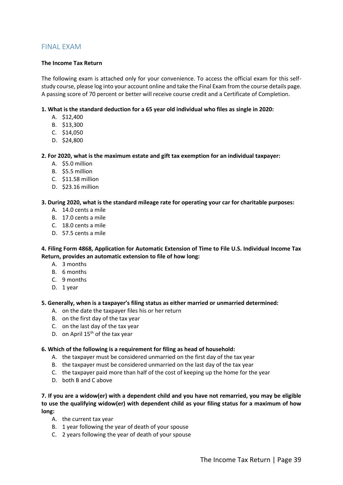# <span id="page-38-0"></span>FINAL EXAM

#### **The Income Tax Return**

The following exam is attached only for your convenience. To access the official exam for this selfstudy course, please log into your account online and take the Final Exam from the course details page. A passing score of 70 percent or better will receive course credit and a Certificate of Completion.

#### **1. What is the standard deduction for a 65 year old individual who files as single in 2020:**

- A. \$12,400
- B. \$13,300
- C. \$14,050
- D. \$24,800

#### **2. For 2020, what is the maximum estate and gift tax exemption for an individual taxpayer:**

- A. \$5.0 million
- B. \$5.5 million
- C. \$11.58 million
- D. \$23.16 million

#### **3. During 2020, what is the standard mileage rate for operating your car for charitable purposes:**

- A. 14.0 cents a mile
- B. 17.0 cents a mile
- C. 18.0 cents a mile
- D. 57.5 cents a mile

**4. Filing Form 4868, Application for Automatic Extension of Time to File U.S. Individual Income Tax Return, provides an automatic extension to file of how long:**

- A. 3 months
- B. 6 months
- C. 9 months
- D. 1 year

#### **5. Generally, when is a taxpayer's filing status as either married or unmarried determined:**

- A. on the date the taxpayer files his or her return
- B. on the first day of the tax year
- C. on the last day of the tax year
- D. on April  $15<sup>th</sup>$  of the tax year

#### **6. Which of the following is a requirement for filing as head of household:**

- A. the taxpayer must be considered unmarried on the first day of the tax year
- B. the taxpayer must be considered unmarried on the last day of the tax year
- C. the taxpayer paid more than half of the cost of keeping up the home for the year
- D. both B and C above

#### **7. If you are a widow(er) with a dependent child and you have not remarried, you may be eligible to use the qualifying widow(er) with dependent child as your filing status for a maximum of how long:**

- A. the current tax year
- B. 1 year following the year of death of your spouse
- C. 2 years following the year of death of your spouse